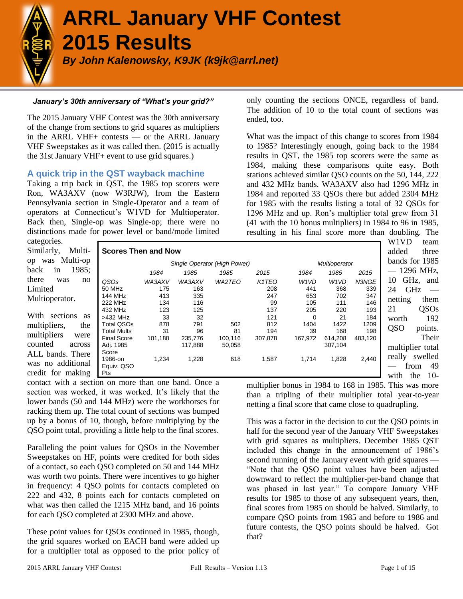

# **ARRL January VHF Contest 2015 Results**

*By John Kalenowsky, K9JK (k9jk@arrl.net)*

# *January's 30th anniversary of "What's your grid?"*

The 2015 January VHF Contest was the 30th anniversary of the change from sections to grid squares as multipliers in the ARRL VHF+ contests — or the ARRL January VHF Sweepstakes as it was called then. (2015 is actually the 31st January VHF+ event to use grid squares.)

# **A quick trip in the QST wayback machine**

Taking a trip back in QST, the 1985 top scorers were Ron, WA3AXV (now W3RJW), from the Eastern Pennsylvania section in Single-Operator and a team of operators at Connecticut's W1VD for Multioperator. Back then, Single-op was Single-op; there were no distinctions made for power level or band/mode limited

only counting the sections ONCE, regardless of band. The addition of 10 to the total count of sections was ended, too.

What was the impact of this change to scores from 1984 to 1985? Interestingly enough, going back to the 1984 results in QST, the 1985 top scorers were the same as 1984, making these comparisons quite easy. Both stations achieved similar QSO counts on the 50, 144, 222 and 432 MHz bands. WA3AXV also had 1296 MHz in 1984 and reported 33 QSOs there but added 2304 MHz for 1985 with the results listing a total of 32 QSOs for 1296 MHz and up. Ron's multiplier total grew from 31 (41 with the 10 bonus multipliers) in 1984 to 96 in 1985, resulting in his final score more than doubling. The

categories. Similarly, op was Mu back in there was Limited Multioperato

With section multipliers, multipliers counted ALL bands. was no add credit for m

|          |                            |         |         |                              |                                 |                               |                               |         | W1VD             | team      |
|----------|----------------------------|---------|---------|------------------------------|---------------------------------|-------------------------------|-------------------------------|---------|------------------|-----------|
| Multi-   | <b>Scores Then and Now</b> |         |         |                              |                                 |                               |                               |         | added            | three     |
| ulti-op  |                            |         |         | Single Operator (High Power) |                                 |                               | Multioperator                 |         | bands for 1985   |           |
| 1985;    |                            | 1984    | 1985    | 1985                         | 2015                            | 1984                          | 1985                          | 2015    |                  | 1296 MHz, |
| no       | QSOs                       | WA3AXV  | WA3AXV  | <b>WA2TEO</b>                | K <sub>1</sub> T <sub>E</sub> O | W <sub>1</sub> V <sub>D</sub> | W <sub>1</sub> V <sub>D</sub> | N3NGE   | GHz,<br>10       | and       |
|          | 50 MHz                     | 175     | 163     |                              | 208                             | 441                           | 368                           | 339     | GHz<br>24        |           |
| οr.      | 144 MHz                    | 413     | 335     |                              | 247                             | 653                           | 702                           | 347     | netting          | them      |
|          | 222 MHz                    | 134     | 116     |                              | 99                              | 105                           | 111                           | 146     |                  |           |
|          | 432 MHz                    | 123     | 125     |                              | 137                             | 205                           | 220                           | 193     | 21               | QSOs      |
| ns<br>as | >432 MHz                   | 33      | 32      |                              | 121                             | $\Omega$                      | 21                            | 184     | worth            | 192       |
| the      | <b>Total QSOs</b>          | 878     | 791     | 502                          | 812                             | 1404                          | 1422                          | 1209    | Q <sub>SO</sub>  |           |
|          | <b>Total Mults</b>         | 31      | 96      | 81                           | 194                             | 39                            | 168                           | 198     |                  | points.   |
| were     | <b>Final Score</b>         | 101,188 | 235,776 | 100,116                      | 307,878                         | 167,972                       | 614,208                       | 483,120 |                  | Their     |
| across   | Adj. 1985                  |         | 117,888 | 50,058                       |                                 |                               | 307,104                       |         | multiplier total |           |
| There    | Score                      |         |         |                              |                                 |                               |                               |         |                  |           |
| litional | 1986-on                    | 1,234   | 1,228   | 618                          | 1,587                           | 1,714                         | 1,828                         | 2,440   | really           | swelled   |
|          | Equiv. QSO                 |         |         |                              |                                 |                               |                               |         | from             | 49        |
| naking   | Pts                        |         |         |                              |                                 |                               |                               |         | with<br>the      | $10-$     |

contact with a section on more than one band. Once a section was worked, it was worked. It's likely that the lower bands (50 and 144 MHz) were the workhorses for racking them up. The total count of sections was bumped up by a bonus of 10, though, before multiplying by the QSO point total, providing a little help to the final scores.

Paralleling the point values for QSOs in the November Sweepstakes on HF, points were credited for both sides of a contact, so each QSO completed on 50 and 144 MHz was worth two points. There were incentives to go higher in frequency: 4 QSO points for contacts completed on 222 and 432, 8 points each for contacts completed on what was then called the 1215 MHz band, and 16 points for each QSO completed at 2300 MHz and above.

These point values for QSOs continued in 1985, though, the grid squares worked on EACH band were added up for a multiplier total as opposed to the prior policy of multiplier bonus in 1984 to 168 in 1985. This was more than a tripling of their multiplier total year-to-year netting a final score that came close to quadrupling.

This was a factor in the decision to cut the QSO points in half for the second year of the January VHF Sweepstakes with grid squares as multipliers. December 1985 QST included this change in the announcement of 1986's second running of the January event with grid squares — "Note that the QSO point values have been adjusted downward to reflect the multiplier-per-band change that was phased in last year." To compare January VHF results for 1985 to those of any subsequent years, then, final scores from 1985 on should be halved. Similarly, to compare QSO points from 1985 and before to 1986 and future contests, the QSO points should be halved. Got that?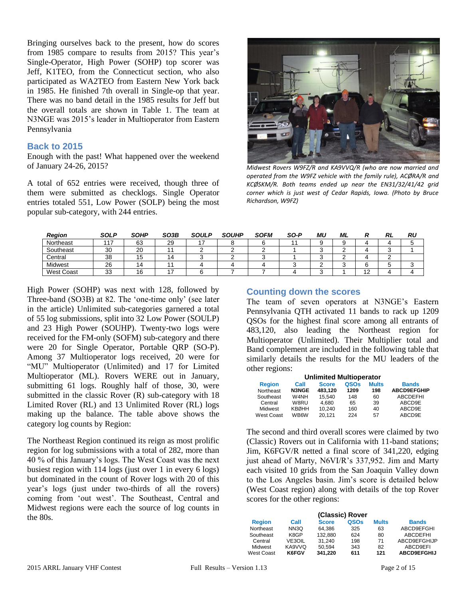Bringing ourselves back to the present, how do scores from 1985 compare to results from 2015? This year's Single-Operator, High Power (SOHP) top scorer was Jeff, K1TEO, from the Connecticut section, who also participated as WA2TEO from Eastern New York back in 1985. He finished 7th overall in Single-op that year. There was no band detail in the 1985 results for Jeff but the overall totals are shown in Table 1. The team at N3NGE was 2015's leader in Multioperator from Eastern Pennsylvania

# **Back to 2015**

Enough with the past! What happened over the weekend of January 24-26, 2015?

A total of 652 entries were received, though three of them were submitted as checklogs. Single Operator entries totaled 551, Low Power (SOLP) being the most popular sub-category, with 244 entries.



*Midwest Rovers W9FZ/R and KA9VVQ/R (who are now married and operated from the W9FZ vehicle with the family rule), ACØRA/R and KCØSKM/R. Both teams ended up near the EN31/32/41/42 grid corner which is just west of Cedar Rapids, Iowa. (Photo by Bruce Richardson, W9FZ)*

| <b>Region</b>     | <b>SOLP</b>  | <b>SOHP</b> | SO3B | <b>SOULP</b> | <b>SOUHP</b> | <b>SOFM</b> | SO-P | ML | ML |                   | RL | RU |
|-------------------|--------------|-------------|------|--------------|--------------|-------------|------|----|----|-------------------|----|----|
| Northeast         | . . –<br>11. | 63          | 29   |              |              |             |      |    |    |                   |    |    |
| Southeast         | 30           | 20          |      |              |              |             |      |    |    |                   |    |    |
| Central           | 38           | כו          |      |              |              |             |      |    |    |                   |    |    |
| Midwest           | 26           | 1           |      |              |              |             |      |    |    |                   | ັ  |    |
| <b>West Coast</b> | 33           | 16          |      |              |              |             |      |    |    | $\sqrt{2}$<br>. . |    |    |

High Power (SOHP) was next with 128, followed by Three-band (SO3B) at 82. The 'one-time only' (see later in the article) Unlimited sub-categories garnered a total of 55 log submissions, split into 32 Low Power (SOULP) and 23 High Power (SOUHP). Twenty-two logs were received for the FM-only (SOFM) sub-category and there were 20 for Single Operator, Portable QRP (SO-P). Among 37 Multioperator logs received, 20 were for "MU" Multioperator (Unlimited) and 17 for Limited Multioperator (ML). Rovers WERE out in January, submitting 61 logs. Roughly half of those, 30, were submitted in the classic Rover (R) sub-category with 18 Limited Rover (RL) and 13 Unlimited Rover (RL) logs making up the balance. The table above shows the category log counts by Region:

The Northeast Region continued its reign as most prolific region for log submissions with a total of 282, more than 40 % of this January's logs. The West Coast was the next busiest region with 114 logs (just over 1 in every 6 logs) but dominated in the count of Rover logs with 20 of this year's logs (just under two-thirds of all the rovers) coming from 'out west'. The Southeast, Central and Midwest regions were each the source of log counts in the 80s.

# **Counting down the scores**

The team of seven operators at N3NGE's Eastern Pennsylvania QTH activated 11 bands to rack up 1209 QSOs for the highest final score among all entrants of 483,120, also leading the Northeast region for Multioperator (Unlimited). Their Multiplier total and Band complement are included in the following table that similarly details the results for the MU leaders of the other regions:

| <b>Unlimited Multioperator</b> |              |              |      |              |                    |  |  |  |
|--------------------------------|--------------|--------------|------|--------------|--------------------|--|--|--|
| <b>Region</b>                  | Call         | <b>Score</b> | QSOs | <b>Mults</b> | <b>Bands</b>       |  |  |  |
| Northeast                      | <b>N3NGE</b> | 483.120      | 1209 | 198          | <b>ABCD9EFGHIP</b> |  |  |  |
| Southeast                      | W4NH         | 15.540       | 148  | 60           | <b>ABCDEFHI</b>    |  |  |  |
| Central                        | W8RU         | 4.680        | 65   | 39           | ABCD9E             |  |  |  |
| Midwest                        | <b>KBØHH</b> | 10.240       | 160  | 40           | ABCD9E             |  |  |  |
| West Coast                     | WB6W         | 20.121       | 224  | 57           | ABCD9E             |  |  |  |

The second and third overall scores were claimed by two (Classic) Rovers out in California with 11-band stations; Jim, K6FGV/R netted a final score of 341,220, edging just ahead of Marty, N6VI/R's 337,952. Jim and Marty each visited 10 grids from the San Joaquin Valley down to the Los Angeles basin. Jim's score is detailed below (West Coast region) along with details of the top Rover scores for the other regions:

| (Classic) Rover |        |              |      |              |                    |  |  |
|-----------------|--------|--------------|------|--------------|--------------------|--|--|
| <b>Region</b>   | Call   | <b>Score</b> | QSOs | <b>Mults</b> | <b>Bands</b>       |  |  |
| Northeast       | NN3Q   | 64.386       | 325  | 63           | ABCD9EFGHI         |  |  |
| Southeast       | K8GP   | 132.880      | 624  | 80           | <b>ABCDEFHI</b>    |  |  |
| Central         | VE3OIL | 31.240       | 198  | 71           | ABCD9EFGHIJP       |  |  |
| Midwest         | KA9VVQ | 50.594       | 343  | 82           | ABCD9EFI           |  |  |
| West Coast      | K6FGV  | 341.220      | 611  | 121          | <b>ABCD9EFGHIJ</b> |  |  |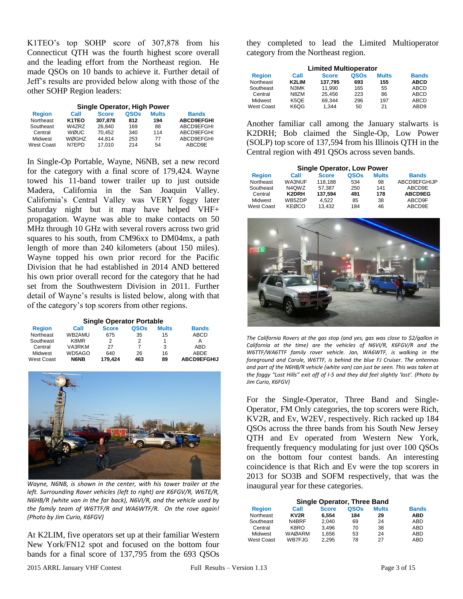K1TEO's top SOHP score of 307,878 from his Connecticut QTH was the fourth highest score overall and the leading effort from the Northeast region. He made QSOs on 10 bands to achieve it. Further detail of Jeff's results are provided below along with those of the other SOHP Region leaders:

| <b>Single Operator, High Power</b> |                    |              |      |              |                   |  |  |  |
|------------------------------------|--------------------|--------------|------|--------------|-------------------|--|--|--|
| <b>Region</b>                      | Call               | <b>Score</b> | QSOs | <b>Mults</b> | <b>Bands</b>      |  |  |  |
| Northeast                          | K <sub>1</sub> TEO | 307.878      | 812  | 194          | <b>ABCD9EFGHI</b> |  |  |  |
| Southeast                          | W4ZRZ              | 26.840       | 169  | 88           | ABCD9EFGHI        |  |  |  |
| Central                            | <b>WØUC</b>        | 70.452       | 340  | 114          | ABCD9EFGHI        |  |  |  |
| Midwest                            | WØGHZ              | 44.814       | 253  | 77           | ABCD9EFGHI        |  |  |  |
| West Coast                         | N7FPD              | 17.010       | 214  | 54           | ABCD9E            |  |  |  |

In Single-Op Portable, Wayne, N6NB, set a new record for the category with a final score of 179,424. Wayne towed his 11-band tower trailer up to just outside Madera, California in the San Joaquin Valley. California's Central Valley was VERY foggy later Saturday night but it may have helped VHF+ propagation. Wayne was able to make contacts on 50 MHz through 10 GHz with several rovers across two grid squares to his south, from CM96xx to DM04mx, a path length of more than 240 kilometers (about 150 miles). Wayne topped his own prior record for the Pacific Division that he had established in 2014 AND bettered his own prior overall record for the category that he had set from the Southwestern Division in 2011. Further detail of Wayne's results is listed below, along with that of the category's top scorers from other regions.

**Single Operator Portable**

| <b>Region</b> | Call   | <b>Score</b> | QSOs | <b>Mults</b> | <b>Bands</b>       |
|---------------|--------|--------------|------|--------------|--------------------|
| Northeast     | WB2AMU | 675          | 35   | 15           | ABCD               |
| Southeast     | K8MR   | 2            |      |              |                    |
| Central       | VA3RKM | 27           |      | 3            | <b>ABD</b>         |
| Midwest       | WD5AGO | 640          | 26   | 16           | ABDE               |
| West Coast    | N6NB   | 179.424      | 463  | 89           | <b>ABCD9EFGHIJ</b> |



*Wayne, N6NB, is shown in the center, with his tower trailer at the left. Surrounding Rover vehicles (left to right) are K6FGV/R, W6TE/R, N6HB/R (white van in the far back), N6VI/R, and the vehicle used by the family team of W6TTF/R and WA6WTF/R. On the rove again! (Photo by Jim Curio, K6FGV)*

At K2LIM, five operators set up at their familiar Western New York/FN12 spot and focused on the bottom four bands for a final score of 137,795 from the 693 QSOs

they completed to lead the Limited Multioperator category from the Northeast region.

| <b>Limited Multioperator</b> |       |              |      |              |                  |  |  |
|------------------------------|-------|--------------|------|--------------|------------------|--|--|
| <b>Region</b>                | Call  | <b>Score</b> | QSOs | <b>Mults</b> | <b>Bands</b>     |  |  |
| Northeast                    | K2LIM | 137.795      | 693  | 155          | <b>ABCD</b>      |  |  |
| Southeast                    | N3MK  | 11.990       | 165  | 55           | ABCD             |  |  |
| Central                      | N8ZM  | 25.456       | 223  | 86           | ABCD             |  |  |
| Midwest                      | K5OE  | 69.344       | 296  | 197          | ABCD             |  |  |
| West Coast                   | K6QG  | 1.344        | 50   | 21           | ABD <sub>9</sub> |  |  |

Another familiar call among the January stalwarts is K2DRH; Bob claimed the Single-Op, Low Power (SOLP) top score of 137,594 from his Illinois QTH in the Central region with 491 QSOs across seven bands.

| <b>Single Operator, Low Power</b> |        |              |      |              |              |  |  |
|-----------------------------------|--------|--------------|------|--------------|--------------|--|--|
| <b>Region</b>                     | Call   | <b>Score</b> | QSOs | <b>Mults</b> | <b>Bands</b> |  |  |
| Northeast                         | WA3NUF | 118.188      | 534  | 98           | ABCD9EFGHIJP |  |  |
| Southeast                         | N4OWZ  | 57.387       | 250  | 141          | ABCD9E       |  |  |
| Central                           | K2DRH  | 137.594      | 491  | 178          | ABCD9EG      |  |  |
| Midwest                           | WB5ZDP | 4.522        | 85   | 38           | ABCD9F       |  |  |
| <b>West Coast</b>                 | KEØCO  | 13.432       | 184  | 46           | ABCD9E       |  |  |



*The California Rovers at the gas stop (and yes, gas was close to \$2/gallon in California at the time) are the vehicles of N6VI/R, K6FGV/R and the W6TTF/WA6TTF family rover vehicle. Jan, WA6WTF, is walking in the foreground and Carole, W6TTF, is behind the blue FJ Cruiser. The antennas and part of the N6HB/R vehicle (white van) can just be seen. This was taken at the foggy "Lost Hills" exit off of I-5 and they did feel slightly 'lost'. (Photo by Jim Curio, K6FGV)*

For the Single-Operator, Three Band and Single-Operator, FM Only categories, the top scorers were Rich, KV2R, and Ev, W2EV, respectively. Rich racked up 184 QSOs across the three bands from his South New Jersey QTH and Ev operated from Western New York, frequently frequency modulating for just over 100 QSOs on the bottom four contest bands. An interesting coincidence is that Rich and Ev were the top scorers in 2013 for SO3B and SOFM respectively, that was the inaugural year for these categories.

| Single Operator, Three Band |                   |              |      |              |              |  |  |
|-----------------------------|-------------------|--------------|------|--------------|--------------|--|--|
| <b>Region</b>               | Call              | <b>Score</b> | QSOs | <b>Mults</b> | <b>Bands</b> |  |  |
| Northeast                   | KV <sub>2</sub> R | 6.554        | 184  | 29           | <b>ABD</b>   |  |  |
| Southeast                   | N4BRF             | 2.040        | 69   | 24           | ABD          |  |  |
| Central                     | K8RO              | 3.496        | 70   | 38           | ABD          |  |  |
| Midwest                     | WAØARM            | 1,656        | 53   | 24           | ABD          |  |  |
| <b>West Coast</b>           | WB7FJG            | 2.295        | 78   | 27           | ABD          |  |  |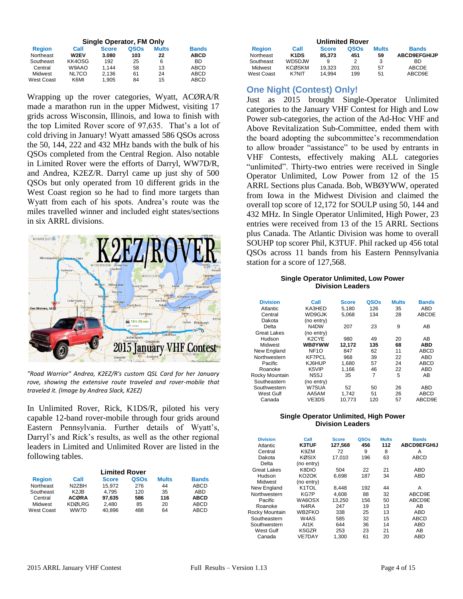|                   |        | Single Operator, FM Only |      |              |              |  |  |  |
|-------------------|--------|--------------------------|------|--------------|--------------|--|--|--|
| <b>Region</b>     | Call   | <b>Score</b>             | QSOs | <b>Mults</b> | <b>Bands</b> |  |  |  |
| Northeast         | W2EV   | 3.080                    | 103  | 22           | <b>ABCD</b>  |  |  |  |
| Southeast         | KK4OSG | 192                      | 25   | 6            | BD           |  |  |  |
| Central           | W9AAO  | 1.144                    | 58   | 13           | ABCD         |  |  |  |
| Midwest           | NL7CO  | 2,136                    | 61   | 24           | ABCD         |  |  |  |
| <b>West Coast</b> | K6MI   | 1,905                    | 84   | 15           | ABCD         |  |  |  |

Wrapping up the rover categories, Wyatt, ACØRA/R made a marathon run in the upper Midwest, visiting 17 grids across Wisconsin, Illinois, and Iowa to finish with the top Limited Rover score of 97,635. That's a lot of cold driving in January! Wyatt amassed 586 QSOs across the 50, 144, 222 and 432 MHz bands with the bulk of his QSOs completed from the Central Region. Also notable in Limited Rover were the efforts of Darryl, WW7D/R, and Andrea, K2EZ/R. Darryl came up just shy of 500 QSOs but only operated from 10 different grids in the West Coast region so he had to find more targets than Wyatt from each of his spots. Andrea's route was the miles travelled winner and included eight states/sections in six ARRL divisions.



*"Road Warrior" Andrea, K2EZ/R's custom QSL Card for her January rove, showing the extensive route traveled and rover-mobile that traveled it. (Image by Andrea Slack, K2EZ)*

In Unlimited Rover, Rick, K1DS/R, piloted his very capable 12-band rover-mobile through four grids around Eastern Pennsylvania. Further details of Wyatt's, Darryl's and Rick's results, as well as the other regional leaders in Limited and Unlimited Rover are listed in the following tables.

| <b>Limited Rover</b> |                               |              |      |              |              |  |
|----------------------|-------------------------------|--------------|------|--------------|--------------|--|
| <b>Region</b>        | Call                          | <b>Score</b> | QSOs | <b>Mults</b> | <b>Bands</b> |  |
| Northeast            | N2ZBH                         | 15.972       | 276  | 44           | ABCD         |  |
| Southeast            | K <sub>2</sub> J <sub>B</sub> | 4.795        | 120  | 35           | ABD          |  |
| Central              | <b>ACØRA</b>                  | 97.635       | 586  | 116          | <b>ABCD</b>  |  |
| Midwest              | <b>KDØLRG</b>                 | 2.480        | 85   | 20           | <b>ABCD</b>  |  |
| West Coast           | WW7D                          | 40.896       | 488  | 64           | <b>ABCD</b>  |  |

| <b>Unlimited Rover</b> |                               |              |             |              |                     |  |  |  |
|------------------------|-------------------------------|--------------|-------------|--------------|---------------------|--|--|--|
| <b>Region</b>          | Call                          | <b>Score</b> | <b>OSOs</b> | <b>Mults</b> | <b>Bands</b>        |  |  |  |
| Northeast              | K <sub>1</sub> D <sub>S</sub> | 85.373       | 451         | 59           | <b>ABCD9EFGHIJP</b> |  |  |  |
| Southeast              | WD5DJW                        | 9            | 2           | 3            | BD.                 |  |  |  |
| Midwest                | <b>KCØSKM</b>                 | 19.323       | 201         | 57           | ABCDE               |  |  |  |
| West Coast             | <b>K7NIT</b>                  | 14.994       | 199         | 51           | ABCD9E              |  |  |  |

# **One Night (Contest) Only!**

Just as 2015 brought Single-Operator Unlimited categories to the January VHF Contest for High and Low Power sub-categories, the action of the Ad-Hoc VHF and Above Revitalization Sub-Committee, ended them with the board adopting the subcommittee's recommendation to allow broader "assistance" to be used by entrants in VHF Contests, effectively making ALL categories "unlimited". Thirty-two entries were received in Single Operator Unlimited, Low Power from 12 of the 15 ARRL Sections plus Canada. Bob, WBØYWW, operated from Iowa in the Midwest Division and claimed the overall top score of 12,172 for SOULP using 50, 144 and 432 MHz. In Single Operator Unlimited, High Power, 23 entries were received from 13 of the 15 ARRL Sections plus Canada. The Atlantic Division was home to overall SOUHP top scorer Phil, K3TUF. Phil racked up 456 total QSOs across 11 bands from his Eastern Pennsylvania station for a score of 127,568.

#### **Single Operator Unlimited, Low Power Division Leaders**

| <b>Division</b>    | Call                          | <b>Score</b> | QSOs | <b>Mults</b> | <b>Bands</b> |
|--------------------|-------------------------------|--------------|------|--------------|--------------|
| Atlantic           | KA3HED                        | 5.180        | 126  | 35           | ABD          |
| Central            | WD9GJK                        | 5.068        | 134  | 28           | ABCDE        |
| Dakota             | (no entry)                    |              |      |              |              |
| Delta              | N <sub>4</sub> D <sub>W</sub> | 207          | 23   | 9            | AB           |
| <b>Great Lakes</b> | (no entry)                    |              |      |              |              |
| Hudson             | K <sub>2</sub> CYE            | 980          | 49   | 20           | AB           |
| Midwest            | <b>WBØYWW</b>                 | 12,172       | 135  | 68           | <b>ABD</b>   |
| New England        | NF <sub>10</sub>              | 847          | 62   | 11           | <b>ABCD</b>  |
| Northwestern       | <b>KF7PCL</b>                 | 968          | 39   | 22           | ABD          |
| Pacific            | KJ6HUP                        | 1.680        | 57   | 24           | <b>ABCD</b>  |
| Roanoke            | K5VIP                         | 1.166        | 46   | 22           | ABD          |
| Rocky Mountain     | N <sub>5</sub> SJ             | 35           | 7    | 5            | AB           |
| Southeastern       | (no entry)                    |              |      |              |              |
| Southwestern       | W7SUA                         | 52           | 50   | 26           | ABD          |
| West Gulf          | AA5AM                         | 1.742        | 51   | 26           | <b>ABCD</b>  |
| Canada             | VE3DS                         | 10,773       | 120  | 57           | ABCD9E       |

#### **Single Operator Unlimited, High Power Division Leaders**

| <b>Division</b><br>Atlantic | Call<br><b>K3TUF</b>           | <b>Score</b><br>127,568 | QSOs<br>456 | <b>Mults</b><br>112 | <b>Bands</b><br><b>ABCD9EFGHIJ</b> |
|-----------------------------|--------------------------------|-------------------------|-------------|---------------------|------------------------------------|
| Central                     | K9ZM                           | 72                      | 9           | 8                   | А                                  |
| Dakota                      | KØSIX                          | 17.010                  | 196         | 63                  | <b>ABCD</b>                        |
| Delta                       | (no entry)                     |                         |             |                     |                                    |
| <b>Great Lakes</b>          | K8DIO                          | 504                     | 22          | 21                  | <b>ABD</b>                         |
| Hudson                      | KO <sub>2</sub> OK             | 6,698                   | 187         | 34                  | ABD                                |
| Midwest                     | (no entry)                     |                         |             |                     |                                    |
| New England                 | K1TOL                          | 8,448                   | 192         | 44                  | А                                  |
| Northwestern                | KG7P                           | 4.608                   | 88          | 32                  | ABCD9E                             |
| Pacific                     | WA6OSX                         | 13.250                  | 156         | 50                  | ABCD9E                             |
| Roanoke                     | N4RA                           | 247                     | 19          | 13                  | AB                                 |
| Rocky Mountain              | WB2FKO                         | 338                     | 25          | 13                  | ABD                                |
| Southeastern                | W4AS                           | 585                     | 32          | 15                  | <b>ABCD</b>                        |
| Southwestern                | AI1K                           | 644                     | 36          | 14                  | <b>ABD</b>                         |
| West Gulf                   | K <sub>5</sub> G <sub>ZR</sub> | 253                     | 23          | 21                  | AB                                 |
| Canada                      | <b>VE7DAY</b>                  | 1.300                   | 61          | 20                  | <b>ABD</b>                         |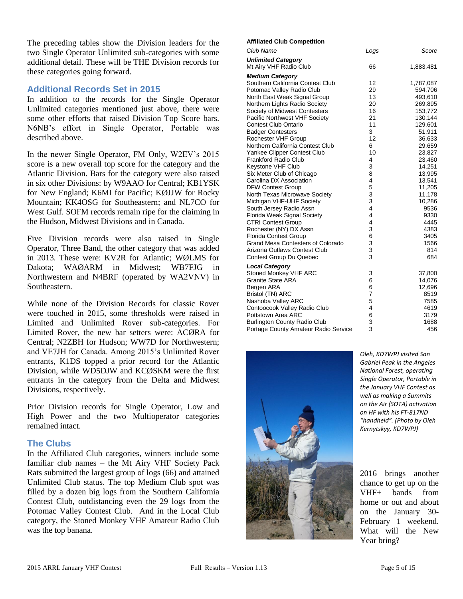The preceding tables show the Division leaders for the two Single Operator Unlimited sub-categories with some additional detail. These will be THE Division records for these categories going forward.

# **Additional Records Set in 2015**

In addition to the records for the Single Operator Unlimited categories mentioned just above, there were some other efforts that raised Division Top Score bars. N6NB's effort in Single Operator, Portable was described above.

In the newer Single Operator, FM Only, W2EV's 2015 score is a new overall top score for the category and the Atlantic Division. Bars for the category were also raised in six other Divisions: by W9AAO for Central; KB1YSK for New England; K6MI for Pacific; KØJJW for Rocky Mountain; KK4OSG for Southeastern; and NL7CO for West Gulf. SOFM records remain ripe for the claiming in the Hudson, Midwest Divisions and in Canada.

Five Division records were also raised in Single Operator, Three Band, the other category that was added in 2013. These were: KV2R for Atlantic; WØLMS for Dakota; WAØARM in Midwest; WB7FJG in Northwestern and N4BRF (operated by WA2VNV) in Southeastern.

While none of the Division Records for classic Rover were touched in 2015, some thresholds were raised in Limited and Unlimited Rover sub-categories. For Limited Rover, the new bar setters were: ACØRA for Central; N2ZBH for Hudson; WW7D for Northwestern; and VE7JH for Canada. Among 2015's Unlimited Rover entrants, K1DS topped a prior record for the Atlantic Division, while WD5DJW and KCØSKM were the first entrants in the category from the Delta and Midwest Divisions, respectively.

Prior Division records for Single Operator, Low and High Power and the two Multioperator categories remained intact.

## **The Clubs**

In the Affiliated Club categories, winners include some familiar club names – the Mt Airy VHF Society Pack Rats submitted the largest group of logs (66) and attained Unlimited Club status. The top Medium Club spot was filled by a dozen big logs from the Southern California Contest Club, outdistancing even the 29 logs from the Potomac Valley Contest Club. And in the Local Club category, the Stoned Monkey VHF Amateur Radio Club was the top banana.

#### **Affiliated Club Competition**

| Club Name                                | Logs           | Score     |
|------------------------------------------|----------------|-----------|
| <b>Unlimited Category</b>                |                |           |
| Mt Airy VHF Radio Club                   | 66             | 1,883,481 |
| <b>Medium Category</b>                   |                |           |
| Southern California Contest Club         | 12             | 1,787,087 |
| Potomac Valley Radio Club                | 29             | 594,706   |
| North East Weak Signal Group             | 13             | 493,610   |
| Northern Lights Radio Society            | 20             | 269,895   |
| Society of Midwest Contesters            | 16             | 153,772   |
| Pacific Northwest VHF Society            | 21             | 130,144   |
| <b>Contest Club Ontario</b>              | 11             | 129,601   |
| <b>Badger Contesters</b>                 | 3              | 51,911    |
| Rochester VHF Group                      | 12             | 36,633    |
| Northern California Contest Club         | 6              | 29,659    |
| Yankee Clipper Contest Club              | 10             | 23,827    |
| Frankford Radio Club                     | 4              | 23,460    |
| Keystone VHF Club                        | 3              | 14,251    |
| Six Meter Club of Chicago                | 8              | 13,995    |
| Carolina DX Association                  | 4              | 13,541    |
| <b>DFW Contest Group</b>                 | 5              | 11,205    |
| North Texas Microwave Society            | 3              | 11,178    |
| Michigan VHF-UHF Society                 | 3              | 10,286    |
| South Jersey Radio Assn                  | 4              | 9536      |
| Florida Weak Signal Society              | 4              | 9330      |
| <b>CTRI Contest Group</b>                | 4              | 4445      |
| Rochester (NY) DX Assn                   | 3              | 4383      |
| <b>Florida Contest Group</b>             | 6              | 3405      |
| <b>Grand Mesa Contesters of Colorado</b> | 3              | 1566      |
| Arizona Outlaws Contest Club             | 3              | 814       |
| Contest Group Du Quebec                  | 3              | 684       |
| <b>Local Category</b>                    |                |           |
| <b>Stoned Monkey VHF ARC</b>             | 3              | 37,800    |
| <b>Granite State ARA</b>                 | 6              | 14,076    |
| Bergen ARA                               | 6              | 12,696    |
| Bristol (TN) ARC                         | $\overline{7}$ | 8519      |
| Nashoba Valley ARC                       | 5              | 7585      |
| Contoocook Valley Radio Club             | 4              | 4619      |
| Pottstown Area ARC                       | 6              | 3179      |
| <b>Burlington County Radio Club</b>      | 3              | 1688      |
| Portage County Amateur Radio Service     | 3              | 456       |



*Oleh, KD7WPJ visited San Gabriel Peak in the Angeles National Forest, operating Single Operator, Portable in the January VHF Contest as well as making a Summits on the Air (SOTA) activation on HF with his FT-817ND "handheld". (Photo by Oleh Kernytskyy, KD7WPJ)*

2016 brings another chance to get up on the VHF+ bands from home or out and about on the January 30- February 1 weekend. What will the New Year bring?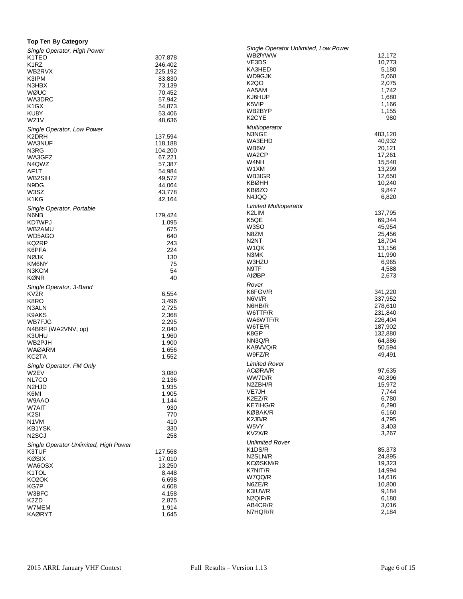### **Top Ten By Category**

| Single Operator, High Power           |                  | Single Operator Unlimited, Low Power |                  |
|---------------------------------------|------------------|--------------------------------------|------------------|
| K <sub>1</sub> TEO                    | 307,878          | <b>WBØYWW</b>                        | 12,172           |
| K <sub>1</sub> RZ                     | 246,402          | VE3DS                                | 10,773           |
| WB2RVX                                | 225,192          | KA3HED                               | 5,180            |
| K3IPM                                 | 83,830           | WD9GJK<br><b>K2QO</b>                | 5,068<br>2,075   |
| N3HBX                                 | 73,139           | AA5AM                                | 1,742            |
| WØUC                                  | 70,452           | KJ6HUP                               | 1,680            |
| WA3DRC                                | 57,942           | K5VIP                                | 1,166            |
| K <sub>1</sub> GX                     | 54,873           | WB2BYP                               | 1,155            |
| KU8Y                                  | 53,406           | K <sub>2</sub> CYE                   | 980              |
| WZ1V                                  | 48,636           | Multioperator                        |                  |
| Single Operator, Low Power            |                  | N3NGE                                | 483,120          |
| K2DRH                                 | 137,594          | WA3EHD                               | 40,932           |
| WA3NUF                                | 118,188          | WB6W                                 | 20,121           |
| N3RG                                  | 104,200          | WA2CP                                | 17,261           |
| WA3GFZ                                | 67,221           | W4NH                                 | 15,540           |
| N4QWZ                                 | 57,387           | W1XM                                 | 13,299           |
| AF1T<br>WB2SIH                        | 54,984<br>49,572 | WB3IGR                               | 12,650           |
| N9DG                                  | 44,064           | <b>KBØHH</b>                         | 10,240           |
| W3SZ                                  | 43,778           | <b>KBØZO</b>                         | 9,847            |
| K1KG                                  | 42,164           | N4JQQ                                | 6,820            |
|                                       |                  | <b>Limited Multioperator</b>         |                  |
| Single Operator, Portable             |                  | K2LIM                                | 137,795          |
| N6NB                                  | 179,424          | K5QE                                 | 69,344           |
| KD7WPJ                                | 1,095            | W3SO                                 | 45,954           |
| WB2AMU<br>WD5AGO                      | 675<br>640       | N8ZM                                 | 25,456           |
| KQ2RP                                 | 243              | N <sub>2N</sub> T                    | 18,704           |
| K6PFA                                 | 224              | W <sub>1</sub> QK                    | 13,156           |
| <b>NØJK</b>                           | 130              | N3MK                                 | 11,990           |
| KM6NY                                 | 75               | W3HZU                                | 6,965            |
| N3KCM                                 | 54               | N9TF                                 | 4,588            |
| <b>KØNR</b>                           | 40               | <b>AIØBP</b>                         | 2,673            |
| Single Operator, 3-Band               |                  | Rover                                |                  |
| KV <sub>2R</sub>                      | 6,554            | K6FGV/R                              | 341,220          |
| K8RO                                  | 3,496            | N6VI/R                               | 337,952          |
| N3ALN                                 | 2,725            | N6HB/R                               | 278,610          |
| K9AKS                                 | 2,368            | W6TTF/R                              | 231,840          |
| WB7FJG                                | 2,295            | WA6WTF/R                             | 226,404          |
| N4BRF (WA2VNV, op)                    | 2,040            | W6TE/R                               | 187,902          |
| K3UHU                                 | 1,960            | K8GP                                 | 132,880          |
| WB2PJH                                | 1,900            | NN3Q/R                               | 64,386           |
| <b>WAØARM</b>                         | 1,656            | KA9VVQ/R                             | 50,594           |
| KC2TA                                 | 1,552            | W9FZ/R                               | 49,491           |
| Single Operator, FM Only              |                  | <b>Limited Rover</b>                 |                  |
| W2EV                                  | 3,080            | ACØRA/R                              | 97,635           |
| NL7CO                                 | 2,136            | WW7D/R                               | 40,896           |
| N <sub>2</sub> HJD                    | 1,935            | N2ZBH/R                              | 15,972           |
| K6MI                                  | 1,905            | VE7JH<br>K2EZ/R                      | 7,744            |
| W9AAO                                 | 1,144            | KE7IHG/R                             | 6,780<br>6,290   |
| W7AIT                                 | 930              | KØBAK/R                              | 6,160            |
| K <sub>2</sub> SI                     | 770              | K2JB/R                               | 4,795            |
| N1VM                                  | 410              | W5VY                                 | 3,403            |
| KB1YSK                                | 330              | KV2X/R                               | 3,267            |
| N <sub>2</sub> SCJ                    | 258              |                                      |                  |
| Single Operator Unlimited, High Power |                  | <b>Unlimited Rover</b>               |                  |
| K3TUF                                 | 127,568          | K1DS/R<br>N2SLN/R                    | 85,373<br>24,895 |
| <b>KØSIX</b>                          | 17,010           | KCØSKM/R                             | 19,323           |
| WA6OSX                                | 13,250           | K7NIT/R                              | 14,994           |
| K1TOL                                 | 8,448            | W7QQ/R                               | 14,616           |
| KO2OK                                 | 6,698            | N6ZE/R                               | 10,800           |
| KG7P                                  | 4,608            | K3IUV/R                              | 9,184            |
| W3BFC<br>K <sub>2</sub> ZD            | 4,158<br>2,875   | N2QIP/R                              | 6,180            |
| W7MEM                                 | 1,914            | AB4CR/R                              | 3,016            |
| <b>KAØRYT</b>                         | 1,645            | N7HQR/R                              | 2,184            |
|                                       |                  |                                      |                  |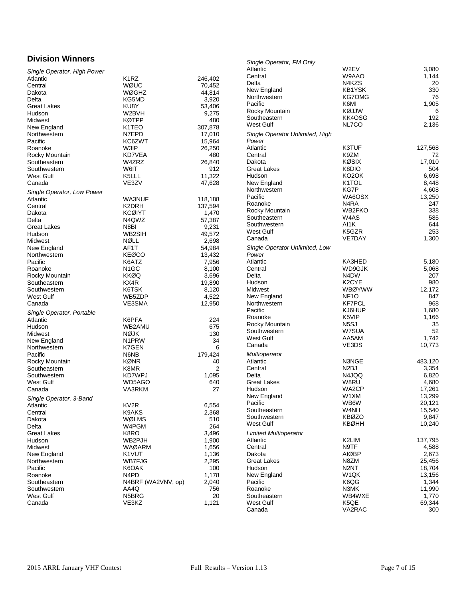# **Division Winners**

| <b>Division Winners</b>     |                                 |                | Single Operator, FM Only        |                               |         |
|-----------------------------|---------------------------------|----------------|---------------------------------|-------------------------------|---------|
| Single Operator, High Power |                                 |                | Atlantic                        | W2EV                          | 3,080   |
| Atlantic                    | K <sub>1</sub> RZ               | 246,402        | Central                         | W9AAO                         | 1,144   |
| Central                     | WØUC                            | 70,452         | Delta                           | N4KZS                         | 20      |
| Dakota                      | <b>WØGHZ</b>                    | 44,814         | New England                     | KB1YSK                        | 330     |
| Delta                       | KG5MD                           | 3,920          | Northwestern                    | <b>KG7OMG</b>                 | 76      |
| <b>Great Lakes</b>          | KU8Y                            | 53,406         | Pacific                         | K6MI                          | 1,905   |
| Hudson                      | W2BVH                           | 9,275          | Rocky Mountain                  | KØJJW                         | 6       |
| Midwest                     | <b>KØTPP</b>                    | 480            | Southeastern                    | KK4OSG                        | 192     |
| New England                 | K <sub>1</sub> T <sub>E</sub> O | 307,878        | West Gulf                       | NL7CO                         | 2,136   |
| Northwestern                | N7EPD                           | 17,010         | Single Operator Unlimited, High |                               |         |
| Pacific                     | KC6ZWT                          | 15,964         | Power                           |                               |         |
| Roanoke                     | W3IP                            | 26,250         | Atlantic                        | K3TUF                         | 127,568 |
| Rocky Mountain              | KD7VEA                          | 480            | Central                         | K9ZM                          | 72      |
|                             | W4ZRZ                           |                | Dakota                          | <b>KØSIX</b>                  | 17,010  |
| Southeastern                |                                 | 26,840         |                                 | K8DIO                         |         |
| Southwestern                | W6IT                            | 912            | Great Lakes                     |                               | 504     |
| West Gulf                   | K5LLL                           | 11,322         | Hudson                          | KO <sub>2</sub> OK            | 6,698   |
| Canada                      | VE3ZV                           | 47,628         | New England                     | K1TOL                         | 8,448   |
| Single Operator, Low Power  |                                 |                | Northwestern                    | KG7P                          | 4,608   |
| Atlantic                    | WA3NUF                          | 118,188        | Pacific                         | WA6OSX                        | 13,250  |
| Central                     | K2DRH                           | 137,594        | Roanoke                         | N <sub>4</sub> RA             | 247     |
| Dakota                      | <b>KCØIYT</b>                   | 1,470          | Rocky Mountain                  | WB2FKO                        | 338     |
| Delta                       | N4QWZ                           | 57,387         | Southeastern                    | W4AS                          | 585     |
| <b>Great Lakes</b>          | N8BI                            | 9,231          | Southwestern                    | AI1K                          | 644     |
| Hudson                      | WB2SIH                          | 49,572         | West Gulf                       | K5GZR                         | 253     |
| Midwest                     | NØLL                            | 2,698          | Canada                          | VE7DAY                        | 1,300   |
| New England                 | AF1T                            | 54,984         | Single Operator Unlimited, Low  |                               |         |
| Northwestern                | <b>KEØCO</b>                    | 13,432         | Power                           |                               |         |
| Pacific                     | K6ATZ                           | 7,956          | Atlantic                        | KA3HED                        | 5,180   |
| Roanoke                     | N <sub>1</sub> GC               | 8,100          | Central                         | WD9GJK                        | 5,068   |
| Rocky Mountain              | <b>KKØQ</b>                     | 3,696          | Delta                           | N <sub>4</sub> D <sub>W</sub> | 207     |
| Southeastern                | KX4R                            | 19,890         | Hudson                          | K2CYE                         | 980     |
| Southwestern                | K6TSK                           | 8,120          | Midwest                         | <b>WBØYWW</b>                 | 12,172  |
| West Gulf                   | WB5ZDP                          | 4,522          | New England                     | NF <sub>10</sub>              | 847     |
| Canada                      | VE3SMA                          | 12,950         | Northwestern                    | <b>KF7PCL</b>                 | 968     |
|                             |                                 |                | Pacific                         | KJ6HUP                        | 1,680   |
| Single Operator, Portable   |                                 |                | Roanoke                         | K5VIP                         | 1,166   |
| Atlantic                    | K6PFA                           | 224            |                                 | N <sub>5</sub> SJ             |         |
| Hudson                      | WB2AMU                          | 675            | Rocky Mountain                  |                               | 35      |
| Midwest                     | <b>NØJK</b>                     | 130            | Southwestern                    | W7SUA                         | 52      |
| New England                 | N <sub>1</sub> PRW              | 34             | West Gulf                       | AA5AM                         | 1,742   |
| Northwestern                | K7GEN                           | 6              | Canada                          | VE3DS                         | 10,773  |
| Pacific                     | N6NB                            | 179,424        | Multioperator                   |                               |         |
| Rocky Mountain              | <b>KØNR</b>                     | 40             | Atlantic                        | N3NGE                         | 483,120 |
| Southeastern                | K8MR                            | $\overline{2}$ | Central                         | N <sub>2</sub> BJ             | 3,354   |
| Southwestern                | KD7WPJ                          | 1,095          | Delta                           | N4JQQ                         | 6,820   |
| West Gulf                   | WD5AGO                          | 640            | <b>Great Lakes</b>              | W8RU                          | 4,680   |
| Canada                      | VA3RKM                          | 27             | Hudson                          | WA2CP                         | 17,261  |
|                             |                                 |                | New England                     | W1XM                          | 13,299  |
| Single Operator, 3-Band     |                                 |                | Pacific                         | WB6W                          | 20,121  |
| Atlantic                    | KV2R                            | 6,554          | Southeastern                    | W4NH                          | 15,540  |
| Central                     | K9AKS                           | 2,368          | Southwestern                    | <b>KBØZO</b>                  | 9,847   |
| Dakota                      | WØLMS                           | 510            | West Gulf                       | <b>KBØHH</b>                  | 10,240  |
| Delta                       | W4PGM                           | 264            |                                 |                               |         |
| <b>Great Lakes</b>          | K8RO                            | 3,496          | <b>Limited Multioperator</b>    |                               |         |
| Hudson                      | WB2PJH                          | 1,900          | Atlantic                        | K2LIM                         | 137,795 |
| Midwest                     | WAØARM                          | 1,656          | Central                         | N9TF                          | 4,588   |
| New England                 | K1VUT                           | 1,136          | Dakota                          | AIØBP                         | 2,673   |
| Northwestern                | WB7FJG                          | 2,295          | Great Lakes                     | N8ZM                          | 25,456  |
| Pacific                     | K6OAK                           | 100            | Hudson                          | N <sub>2</sub> NT             | 18,704  |
| Roanoke                     | N <sub>4</sub> P <sub>D</sub>   | 1,178          | New England                     | W <sub>1</sub> QK             | 13,156  |
| Southeastern                | N4BRF (WA2VNV, op)              | 2,040          | Pacific                         | K6QG                          | 1,344   |
| Southwestern                | AA4Q                            | 756            | Roanoke                         | N3MK                          | 11,990  |
| West Gulf                   | N5BRG                           | 20             | Southeastern                    | WB4WXE                        | 1,770   |
| Canada                      | VE3KZ                           | 1,121          | West Gulf                       | K5QE                          | 69,344  |
|                             |                                 |                | Canada                          | VA2RAC                        | 300     |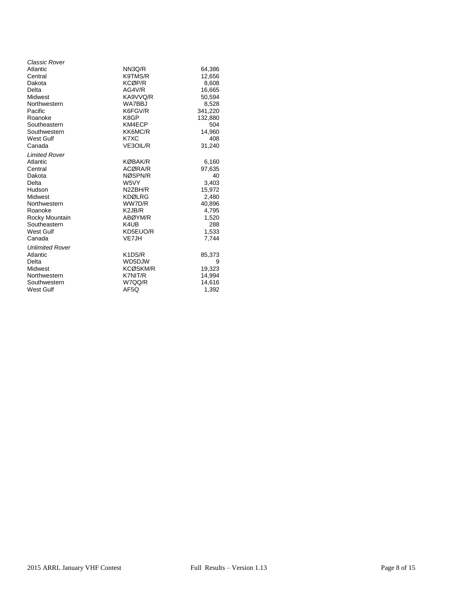| <b>Classic Rover</b>   |                                              |         |
|------------------------|----------------------------------------------|---------|
| Atlantic               | NN3Q/R                                       | 64,386  |
| Central                | K9TMS/R                                      | 12,656  |
| Dakota                 | <b>KCØP/R</b>                                | 8,608   |
| Delta                  | AG4V/R                                       | 16,665  |
| Midwest                | KA9VVQ/R                                     | 50,594  |
| Northwestern           | WA7BBJ                                       | 8,528   |
| Pacific                | K6FGV/R                                      | 341,220 |
| Roanoke                | K8GP                                         | 132,880 |
| Southeastern           | KM4ECP                                       | 504     |
| Southwestern           | KK6MC/R                                      | 14,960  |
| <b>West Gulf</b>       | K7XC                                         | 408     |
| Canada                 | VE3OIL/R                                     | 31,240  |
| <b>Limited Rover</b>   |                                              |         |
| Atlantic               | <b>KØBAK/R</b>                               | 6,160   |
| Central                | ACØRA/R                                      | 97,635  |
| Dakota                 | NØSPN/R                                      | 40      |
| Delta                  | W5VY                                         | 3,403   |
| Hudson                 | N2ZBH/R                                      | 15,972  |
| Midwest                | <b>KDØLRG</b>                                | 2,480   |
| Northwestern           | WW7D/R                                       | 40,896  |
| Roanoke                | K <sub>2</sub> J <sub>B</sub> /R             | 4,795   |
| Rocky Mountain         | ABØYM/R                                      | 1,520   |
| Southeastern           | K4UB                                         | 288     |
| West Gulf              | KD5EUO/R                                     | 1,533   |
| Canada                 | VE7JH                                        | 7.744   |
| <b>Unlimited Rover</b> |                                              |         |
| Atlantic               | K <sub>1</sub> D <sub>S</sub> / <sub>R</sub> | 85,373  |
| Delta                  | WD5DJW                                       | 9       |
| Midwest                | <b>KCØSKM/R</b>                              | 19,323  |
| Northwestern           | K7NIT/R                                      | 14,994  |
| Southwestern           | W7QQ/R                                       | 14,616  |
| <b>West Gulf</b>       | AF5Q                                         | 1,392   |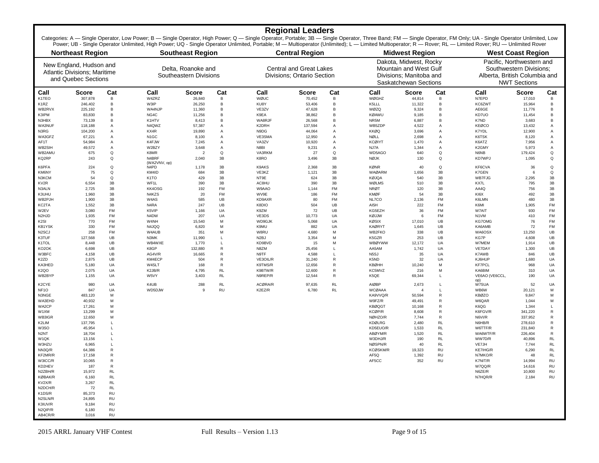## **Regional Leaders**

Categories: A — Single Operator, Low Power; B — Single Operator, High Power; Q — Single Operator, Portable; 3B — Single Operator, Three Band; FM — Single Operator, FM Only; UA - Single Operator Unlimited, Low Power; UB - Single Operator Unlimited, High Power; UQ - Single Operator Unlimited, Portable; M — Multioperator (Unlimited); L — Limited Multioperator; R — Rover; RL — Limited Rover; RU — Unlimited Rover; RU — Unlimited Rov

|                                    | <b>Northeast Region</b>                                                               |                        |                               | <b>Southeast Region</b>                      |           | <b>Central Region</b>                                        |              |                                                                                                             | <b>Midwest Region</b>   |                 |                                                                                                              | <b>West Coast Region</b>   |                  |                   |
|------------------------------------|---------------------------------------------------------------------------------------|------------------------|-------------------------------|----------------------------------------------|-----------|--------------------------------------------------------------|--------------|-------------------------------------------------------------------------------------------------------------|-------------------------|-----------------|--------------------------------------------------------------------------------------------------------------|----------------------------|------------------|-------------------|
|                                    | New England, Hudson and<br><b>Atlantic Divisions: Maritime</b><br>and Quebec Sections |                        |                               | Delta, Roanoke and<br>Southeastern Divisions |           | <b>Central and Great Lakes</b><br>Divisions: Ontario Section |              | Dakota, Midwest, Rocky<br><b>Mountain and West Gulf</b><br>Divisions: Manitoba and<br>Saskatchewan Sections |                         |                 | Pacific, Northwestern and<br>Southwestern Divisions:<br>Alberta, British Columbia and<br><b>NWT Sections</b> |                            |                  |                   |
| Call                               | <b>Score</b>                                                                          | Cat                    | Call                          | <b>Score</b>                                 | Cat       | Call                                                         | <b>Score</b> | Cat                                                                                                         | Call                    | <b>Score</b>    | Cat                                                                                                          | Call                       | <b>Score</b>     | Cat               |
| K1TEO                              | 307,878                                                                               | В                      | W4ZRZ                         | 26,840                                       | B         | WØUC                                                         | 70,452       | В                                                                                                           | WØGHZ                   | 44,814          | в                                                                                                            | N7EPD                      | 17,010           | B                 |
| K <sub>1</sub> RZ                  | 246,402                                                                               | В                      | W3IP                          | 26,250                                       | B         | KU8Y                                                         | 53,406       | в                                                                                                           | K5LLL                   | 11,322          | в                                                                                                            | KC6ZWT                     | 15,964           | B                 |
| WB2RVX                             | 225,192                                                                               | В                      | WA4NJP                        | 11,360                                       | B         | VE3ZV                                                        | 47,628       | в                                                                                                           | WØZQ                    | 9,324           | в                                                                                                            | AE6GE                      | 11,776           | B                 |
| K3IPM                              | 83,830                                                                                | В                      | NG4C                          | 11,256                                       | B         | K9EA                                                         | 38,862       | В                                                                                                           | KØAWU                   | 9,185           | B                                                                                                            | KD7UO                      | 11,454           |                   |
| N3HBX                              | 73,139                                                                                | B                      | K1HTV                         | 8,413                                        | B         | WA8RJF                                                       | 26,568       | в                                                                                                           | NR5M                    | 6,887           | B                                                                                                            | K7ND                       | 3,683            | <b>B</b>          |
| WA3NUF                             | 118,188                                                                               | A                      | N4QWZ                         | 57,387                                       | Α         | K2DRH                                                        | 137,594      | Α                                                                                                           | WB5ZDP                  | 4,522           | A                                                                                                            | KEØCO                      | 13,432           | A                 |
| N3RG                               | 104,200                                                                               | Α                      | KX4R                          | 19,890                                       | Α         | N9DG                                                         | 44,064       | Α                                                                                                           | <b>KKØQ</b>             | 3,696           | Α                                                                                                            | K7YDL                      | 12,900           | A                 |
| WA3GFZ                             | 67,221                                                                                | Α                      | N <sub>1</sub> GC             | 8,100                                        | Α         | VE3SMA                                                       | 12,950       | Α                                                                                                           | NØLL                    | 2,698           | Α                                                                                                            | K6TSK                      | 8,120            | Α                 |
| AF1T                               | 54,984                                                                                | A                      | K4FJW                         | 7,245                                        | Α         | VA3ZV                                                        | 10,920       | Α                                                                                                           | <b>KCØIYT</b>           | 1,470           | Α                                                                                                            | K6ATZ                      | 7,956            | A                 |
| WB2SIH                             | 49,572                                                                                | Α                      | W2BZY                         | 3,648                                        | A         | N8BI                                                         | 9,231        | Α                                                                                                           | NJ7A                    | 1,344           | Α                                                                                                            | K2GMY                      | 5,973            | A                 |
| WB2AMU                             | 675                                                                                   | Q                      | K8MR                          | $\overline{2}$                               | Q         | VA3RKM                                                       | 27           | Q                                                                                                           | WD5AGO                  | 640             | Q                                                                                                            | N6NB                       | 179,424          | Q                 |
| KQ2RP                              | 243                                                                                   | Q                      | N4BRF                         | 2,040                                        | 3B        | K8RO                                                         | 3,496        | 3B                                                                                                          | <b>NØJK</b>             | 130             | Q                                                                                                            | KD7WPJ                     | 1,095            | Q                 |
|                                    |                                                                                       |                        | (WA2VNV, op)                  |                                              |           |                                                              |              |                                                                                                             |                         |                 |                                                                                                              |                            |                  |                   |
| K6PFA                              | 224                                                                                   | Q                      | N <sub>4</sub> P <sub>D</sub> | 1,178                                        | 3B        | K9AKS                                                        | 2,368        | 3B                                                                                                          | <b>KØNR</b>             | 40              | $\Omega$                                                                                                     | KF6CVA                     | 36               | Q                 |
| KM6NY                              | 75                                                                                    | Q                      | KM4ID                         | 684                                          | 3B        | VE3KZ                                                        | 1,121        | 3B                                                                                                          | <b>WAØARM</b>           | 1,656           | 3B                                                                                                           | K7GEN                      | 6                | Q                 |
| N3KCM                              | 54                                                                                    | $\mathsf Q$            | K <sub>1</sub> TO             | 429                                          | 3B        | NT9E                                                         | 624          | 3B                                                                                                          | KØJQA                   | 540             | 3B                                                                                                           | WB7FJG                     | 2,295            | 3B                |
| KV <sub>2R</sub>                   | 6,554                                                                                 | 3B                     | WF1L                          | 390                                          | 3B        | AC8HU                                                        | 390          | 3B                                                                                                          | WØLMS                   | 510             | 3B                                                                                                           | KX7L                       | 795              | 3B                |
| N3ALN                              | 2,725                                                                                 | 3B                     | KK4OSG                        | 192                                          | <b>FM</b> | W9AAO                                                        | 1,144        | FM                                                                                                          | <b>NRØT</b>             | 120             | 3B                                                                                                           | AA4Q                       | 756              | 3B                |
| K3UHU                              | 1,960                                                                                 | 3B                     | N4KZS                         | 20                                           | <b>FM</b> | WV9E                                                         | 186          | <b>FM</b>                                                                                                   | KMØF                    | 54              | 3B                                                                                                           | KI6X                       | 492              | 3B                |
| WB2PJH                             | 1,900                                                                                 | 3B<br>3B               | W4AS                          | 585                                          | UB        | KD9AXR                                                       | 80           | <b>FM</b>                                                                                                   | NL7CO                   | 2,136           | <b>FM</b><br><b>FM</b>                                                                                       | K6LMN                      | 480              | 3B<br><b>FM</b>   |
| KC2TA                              | 1,552                                                                                 |                        | N4RA                          | 247                                          | UB        | K8DIO                                                        | 504          | UB                                                                                                          | AI5H                    | 222             |                                                                                                              | K6MI                       | 1,905            |                   |
| W2EV<br>N <sub>2</sub> HJD         | 3,080                                                                                 | FM<br>FM               | K5VIP<br>N4DW                 | 1,166<br>207                                 | UA<br>UA  | K9ZM                                                         | 72<br>10,773 | UB<br>UA                                                                                                    | KG5EZH                  | 36<br>6         | FM<br><b>FM</b>                                                                                              | W7AIT<br>N <sub>1</sub> VM | 930              | FM<br><b>FM</b>   |
|                                    | 1,935<br>770                                                                          | FM                     | W4NH                          |                                              | М         | VE3DS<br>WD9GJK                                              | 5,068        |                                                                                                             | KØJJW<br>KØSIX          |                 | UB                                                                                                           | KG7OMG                     | 410<br>76        | FM                |
| K <sub>2</sub> SI<br><b>KB1YSK</b> | 330                                                                                   | FM                     | N4JQQ                         | 15,540<br>6,820                              | М         | K9MU                                                         | 882          | UA<br>UA                                                                                                    | <b>KAØRYT</b>           | 17,010<br>1,645 | UB                                                                                                           | KA6AMB                     | 72               | FM                |
| N <sub>2</sub> SCJ                 | 258                                                                                   | <b>FM</b>              | W4AUB                         | 351                                          | M         | W8RU                                                         | 4,680        | M                                                                                                           | WB2FKO                  | 338             | UB                                                                                                           | WA6OSX                     | 13,250           | UB                |
| K3TUF                              | 127,568                                                                               | UB                     | N3MK                          | 11,990                                       | L         | N <sub>2</sub> BJ                                            | 3,354        | M                                                                                                           | K5GZR                   | 253             | UB                                                                                                           | <b>KG7P</b>                | 4,608            | UB                |
| K1TOL                              | 8,448                                                                                 | UB                     | WB4WXE                        | 1,770                                        | L         | KD9BVD                                                       | 15           | М                                                                                                           | <b>WBØYWW</b>           | 12,172          | UA                                                                                                           | W7MEM                      | 1,914            | UB                |
| KO <sub>2</sub> OK                 | 6,698                                                                                 | UB                     | K8GP                          | 132,880                                      | ${\sf R}$ | N8ZM                                                         | 25,456       | L                                                                                                           | AA5AM                   | 1,742           | UA                                                                                                           | VE7DAY                     | 1,300            | UB                |
| W3BFC                              | 4,158                                                                                 | UB                     | AG4V/R                        | 16,665                                       | ${\sf R}$ | N9TF                                                         | 4,588        | L                                                                                                           | N <sub>5</sub> SJ       | 35              | UA                                                                                                           | K7AWB                      | 846              | UB                |
| K2ZD                               | 2,875                                                                                 | UB                     | KM4ECP                        | 504                                          | R         | VE3OIL/R                                                     | 31,240       | $\mathsf{R}$                                                                                                | K5ND                    | 32              | UA                                                                                                           | KJ6HUP                     | 1,680            | UA                |
| KA3HED                             | 5,180                                                                                 | UA                     | W4SLT                         | 168                                          | ${\sf R}$ | K9TMS/R                                                      | 12,656       | ${\sf R}$                                                                                                   | KBØHH                   | 10,240          | M                                                                                                            | <b>KF7PCL</b>              | 968              | UA                |
| K <sub>2</sub> QO                  | 2,075                                                                                 | UA                     | K2JB/R                        | 4,795                                        | <b>RL</b> | K9BTW/R                                                      | 12,600       | ${\sf R}$                                                                                                   | KC5MVZ                  | 216             | M                                                                                                            | KA6BIM                     | 310              | UA                |
| WB2BYP                             | 1,155                                                                                 | UA                     | W5VY                          | 3,403                                        | RL        | N9REP/R                                                      | 12,544       | $\mathsf{R}$                                                                                                | K5QE                    | 69,344          | L                                                                                                            | VE6AO (VE6CCL              | 190              | UA                |
|                                    |                                                                                       |                        |                               |                                              |           |                                                              |              |                                                                                                             |                         |                 |                                                                                                              | op)                        |                  |                   |
| K2CYE                              | 980                                                                                   | UA                     | K4UB                          | 288                                          | RL        | ACØRA/R                                                      | 97,635       | RL                                                                                                          | <b>AIØBP</b>            | 2,673           | $\mathsf{L}$                                                                                                 | W7SUA                      | 52               | UA                |
| NF <sub>10</sub>                   | 847                                                                                   | UA                     | WD5DJW                        | 9                                            | <b>RU</b> | K2EZ/R                                                       | 6,780        | RL                                                                                                          | WCØAAA                  | $\overline{4}$  | L                                                                                                            | WB6W                       | 20,121           | M                 |
| N3NGE                              | 483,120                                                                               | М                      |                               |                                              |           |                                                              |              |                                                                                                             | KA9VVQ/R                | 50,594          | ${\sf R}$                                                                                                    | <b>KBØZO</b><br>W6QAR      | 9,847            | M                 |
| WA3EHD                             | 40,932                                                                                | М                      |                               |                                              |           |                                                              |              |                                                                                                             | W9FZ/R                  | 49,491          | ${\sf R}$                                                                                                    |                            | 1,044            | M                 |
| WA2CP<br>W1XM                      | 17,261<br>13,299                                                                      | М<br>М                 |                               |                                              |           |                                                              |              |                                                                                                             | <b>KBØQGT</b><br>KCØP/R | 10,168<br>8,608 | ${\sf R}$<br>$\mathsf R$                                                                                     | K6QG<br>K6FGV/R            | 1,344<br>341,220 | L<br>$\mathsf{R}$ |
| WB3IGR                             | 12,650                                                                                | M                      |                               |                                              |           |                                                              |              |                                                                                                             | NØHZO/R                 | 7,744           | ${\sf R}$                                                                                                    | N6VI/R                     | 337,952          | $\mathsf{R}$      |
| K2LIM                              | 137,795                                                                               | L                      |                               |                                              |           |                                                              |              |                                                                                                             | KDØLRG                  | 2,480           | <b>RL</b>                                                                                                    | N6HB/R                     | 278,610          | $\mathsf{R}$      |
| W3SO                               | 45,954                                                                                | L                      |                               |                                              |           |                                                              |              |                                                                                                             | KD5EUO/R                | 1,533           | <b>RL</b>                                                                                                    | W6TTF/R                    | 231,840          | $\mathsf{R}$      |
| N <sub>2</sub> NT                  | 18,704                                                                                | L                      |                               |                                              |           |                                                              |              |                                                                                                             | ABØYM/R                 | 1,520           | <b>RL</b>                                                                                                    | WA6WTF/R                   | 226,404          | $\mathsf{R}$      |
| W1QK                               | 13,156                                                                                | L                      |                               |                                              |           |                                                              |              |                                                                                                             | W3DHJ/R                 | 190             | <b>RL</b>                                                                                                    | WW7D/R                     | 40,896           | RL                |
| W3HZU                              | 6,965                                                                                 | L                      |                               |                                              |           |                                                              |              |                                                                                                             | NØSPN/R                 | 40              | RL                                                                                                           | VE7JH                      | 7,744            | <b>RL</b>         |
| NN3Q/R                             | 64,386                                                                                | $\mathsf{R}$           |                               |                                              |           |                                                              |              |                                                                                                             | KCØSKM/R                | 19,323          | <b>RU</b>                                                                                                    | <b>KE7IHG/R</b>            | 6,290            | <b>RL</b>         |
| KF2MR/R                            | 17,158                                                                                | R                      |                               |                                              |           |                                                              |              |                                                                                                             | AF5Q                    | 1,392           | <b>RU</b>                                                                                                    | N7MKO/R                    | 48               | <b>RL</b>         |
| W3ICC/R                            | 10,065                                                                                | $\mathsf R$            |                               |                                              |           |                                                              |              |                                                                                                             | AF5CC                   | 352             | <b>RU</b>                                                                                                    | K7NIT/R                    | 14,994           | <b>RU</b>         |
| KD2HEV                             | 187                                                                                   | $\mathsf{R}$           |                               |                                              |           |                                                              |              |                                                                                                             |                         |                 |                                                                                                              | W7QQ/R                     | 14,616           | RU                |
| N2ZBH/R                            | 15,972                                                                                | <b>RL</b>              |                               |                                              |           |                                                              |              |                                                                                                             |                         |                 |                                                                                                              | N6ZE/R                     | 10,800           | RU                |
| KØBAK/R                            | 6,160                                                                                 | <b>RL</b>              |                               |                                              |           |                                                              |              |                                                                                                             |                         |                 |                                                                                                              | N7HQR/R                    | 2,184            | <b>RU</b>         |
| KV2X/R                             | 3,267                                                                                 | <b>RL</b>              |                               |                                              |           |                                                              |              |                                                                                                             |                         |                 |                                                                                                              |                            |                  |                   |
| N2DCH/R                            | 72                                                                                    | <b>RL</b>              |                               |                                              |           |                                                              |              |                                                                                                             |                         |                 |                                                                                                              |                            |                  |                   |
| K1DS/R                             | 85,373                                                                                | <b>RU</b>              |                               |                                              |           |                                                              |              |                                                                                                             |                         |                 |                                                                                                              |                            |                  |                   |
| N2SLN/R                            | 24,895                                                                                | <b>RU</b>              |                               |                                              |           |                                                              |              |                                                                                                             |                         |                 |                                                                                                              |                            |                  |                   |
| K3IUV/R                            | 9,184                                                                                 | <b>RU</b>              |                               |                                              |           |                                                              |              |                                                                                                             |                         |                 |                                                                                                              |                            |                  |                   |
| N <sub>2QIP/R</sub><br>AB4CR/R     | 6,180<br>3,016                                                                        | <b>RU</b><br><b>RU</b> |                               |                                              |           |                                                              |              |                                                                                                             |                         |                 |                                                                                                              |                            |                  |                   |
|                                    |                                                                                       |                        |                               |                                              |           |                                                              |              |                                                                                                             |                         |                 |                                                                                                              |                            |                  |                   |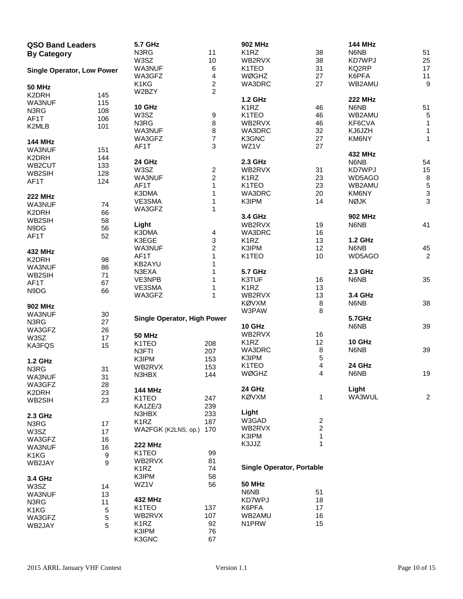| <b>QSO Band Leaders</b>           |     | 5.7 GHz                            |                         | <b>902 MHz</b>                   |                         | <b>144 MHz</b> |                           |
|-----------------------------------|-----|------------------------------------|-------------------------|----------------------------------|-------------------------|----------------|---------------------------|
| <b>By Category</b>                |     | N3RG                               | 11                      | K <sub>1</sub> RZ                | 38                      | N6NB           | 51                        |
|                                   |     | W3SZ                               | 10                      | WB2RVX                           | 38                      | KD7WPJ         | 25                        |
| <b>Single Operator, Low Power</b> |     | WA3NUF                             | 6                       | K1TEO                            | 31                      | KQ2RP          | 17                        |
|                                   |     | WA3GFZ                             | 4                       | <b>WØGHZ</b>                     | 27                      | K6PFA          | 11                        |
|                                   |     | K1KG                               | $\overline{\mathbf{c}}$ | WA3DRC                           | 27                      | WB2AMU         | $\boldsymbol{9}$          |
| <b>50 MHz</b>                     |     | W2BZY                              | $\overline{2}$          |                                  |                         |                |                           |
| K2DRH                             | 145 |                                    |                         |                                  |                         |                |                           |
| WA3NUF                            | 115 |                                    |                         | <b>1.2 GHz</b>                   |                         | <b>222 MHz</b> |                           |
| N3RG                              | 108 | 10 GHz                             |                         | K <sub>1</sub> RZ                | 46                      | N6NB           | 51                        |
| AF1T                              | 106 | W3SZ                               | 9                       | K1TEO                            | 46                      | WB2AMU         | $\,$ 5 $\,$               |
| K2MLB                             | 101 | N3RG                               | 8                       | WB2RVX                           | 46                      | KF6CVA         | 1                         |
|                                   |     | WA3NUF                             | 8                       | WA3DRC                           | 32                      | KJ6JZH         | $\mathbf{1}$              |
| <b>144 MHz</b>                    |     | WA3GFZ                             | $\boldsymbol{7}$        | K3GNC                            | 27                      | KM6NY          | 1                         |
|                                   |     | AF1T                               | 3                       | WZ1V                             | 27                      |                |                           |
| WA3NUF                            | 151 |                                    |                         |                                  |                         | 432 MHz        |                           |
| K2DRH                             | 144 | 24 GHz                             |                         | 2.3 GHz                          |                         | N6NB           | 54                        |
| WB2CUT                            | 133 | W3SZ                               | $\overline{\mathbf{c}}$ | WB2RVX                           | 31                      | KD7WPJ         | 15                        |
| WB2SIH                            | 128 | WA3NUF                             | $\overline{c}$          | K <sub>1</sub> RZ                | 23                      | WD5AGO         | $\bf 8$                   |
| AF1T                              | 124 |                                    |                         |                                  |                         |                |                           |
|                                   |     | AF1T                               | 1                       | K1TEO                            | 23                      | WB2AMU         | $\sqrt{5}$                |
| <b>222 MHz</b>                    |     | K3DMA                              | 1                       | WA3DRC                           | 20                      | KM6NY          | $\ensuremath{\mathsf{3}}$ |
| WA3NUF                            | 74  | VE3SMA                             | 1                       | K3IPM                            | 14                      | <b>NØJK</b>    | $\sqrt{3}$                |
| K2DRH                             | 66  | WA3GFZ                             | 1                       |                                  |                         |                |                           |
| WB2SIH                            | 58  |                                    |                         | 3.4 GHz                          |                         | 902 MHz        |                           |
|                                   |     | Light                              |                         | WB2RVX                           | 19                      | N6NB           | 41                        |
| N9DG                              | 56  | K3DMA                              | 4                       | WA3DRC                           | 16                      |                |                           |
| AF1T                              | 52  | K3EGE                              | $\mathbf{3}$            | K <sub>1</sub> RZ                | 13                      | 1.2 GHz        |                           |
|                                   |     | WA3NUF                             | $\overline{\mathbf{c}}$ | K3IPM                            | 12                      | N6NB           | 45                        |
| 432 MHz                           |     | AF1T                               | 1                       | K1TEO                            | $10$                    | WD5AGO         | $\sqrt{2}$                |
| K2DRH                             | 98  |                                    |                         |                                  |                         |                |                           |
| WA3NUF                            | 86  | KB2AYU                             | 1                       |                                  |                         |                |                           |
| WB2SIH                            | 71  | N3EXA                              |                         | <b>5.7 GHz</b>                   |                         | 2.3 GHz        |                           |
| AF1T                              | 67  | VE3NPB                             | 1                       | K3TUF                            | 16                      | N6NB           | 35                        |
| N9DG                              | 66  | VE3SMA                             | 1                       | K <sub>1</sub> RZ                | 13                      |                |                           |
|                                   |     | WA3GFZ                             | 1                       | WB2RVX                           | 13                      | 3.4 GHz        |                           |
|                                   |     |                                    |                         | <b>KØVXM</b>                     | 8                       | N6NB           | 38                        |
| <b>902 MHz</b>                    |     |                                    |                         | W3PAW                            | 8                       |                |                           |
| WA3NUF                            | 30  | <b>Single Operator, High Power</b> |                         |                                  |                         | 5.7GHz         |                           |
| N3RG                              | 27  |                                    |                         | 10 GHz                           |                         | N6NB           | 39                        |
| WA3GFZ                            | 26  |                                    |                         | WB2RVX                           | 16                      |                |                           |
| W3SZ                              | 17  | <b>50 MHz</b>                      |                         |                                  | 12                      |                |                           |
| KA3FQS                            | 15  | K1TEO                              | 208                     | K <sub>1</sub> RZ                |                         | 10 GHz         |                           |
|                                   |     | N3FTI                              | 207                     | WA3DRC                           | 8                       | N6NB           | 39                        |
| 1.2 GHz                           |     | K3IPM                              | 153                     | K3IPM                            | $\sqrt{5}$              |                |                           |
| N3RG                              | 31  | WB2RVX                             | 153                     | K1TEO                            | 4                       | 24 GHz         |                           |
| WA3NUF                            | 31  | N3HBX                              | 144                     | WØGHZ                            | 4                       | N6NB           | 19                        |
| WA3GFZ                            | 28  |                                    |                         |                                  |                         |                |                           |
|                                   |     | <b>144 MHz</b>                     |                         | 24 GHz                           |                         | Light          |                           |
| K2DRH                             | 23  | K1TEO                              | 247                     | <b>KØVXM</b>                     | 1                       | WA3WUL         | $\overline{2}$            |
| WB2SIH                            | 23  | KA1ZE/3                            | 239                     |                                  |                         |                |                           |
|                                   |     |                                    |                         | Light                            |                         |                |                           |
| 2.3 GHz                           |     | N3HBX                              | 233                     | W3GAD                            | $\overline{\mathbf{c}}$ |                |                           |
| N3RG                              | 17  | K <sub>1</sub> RZ                  | 187                     |                                  |                         |                |                           |
| W3SZ                              | 17  | WA2FGK (K2LNS, op.)                | 170                     | WB2RVX                           | $\overline{\mathbf{c}}$ |                |                           |
| WA3GFZ                            | 16  |                                    |                         | K3IPM                            | 1                       |                |                           |
| WA3NUF                            | 16  | <b>222 MHz</b>                     |                         | K3JJZ                            | 1                       |                |                           |
| K1KG                              | 9   | K1TEO                              | 99                      |                                  |                         |                |                           |
| WB2JAY                            | 9   | WB2RVX                             | 81                      |                                  |                         |                |                           |
|                                   |     | K <sub>1</sub> RZ                  | 74                      | <b>Single Operator, Portable</b> |                         |                |                           |
|                                   |     | K3IPM                              | 58                      |                                  |                         |                |                           |
| 3.4 GHz                           |     | WZ1V                               | 56                      | <b>50 MHz</b>                    |                         |                |                           |
| W3SZ                              | 14  |                                    |                         |                                  |                         |                |                           |
| WA3NUF                            | 13  |                                    |                         | N6NB                             | 51                      |                |                           |
| N3RG                              | 11  | <b>432 MHz</b>                     |                         | KD7WPJ                           | 18                      |                |                           |
| K1KG                              | 5   | K1TEO                              | 137                     | K6PFA                            | 17                      |                |                           |
| WA3GFZ                            | 5   | WB2RVX                             | 107                     | WB2AMU                           | 16                      |                |                           |
| WB2JAY                            | 5   | K <sub>1</sub> RZ                  | 92                      | N1PRW                            | 15                      |                |                           |
|                                   |     | K3IPM                              | 76                      |                                  |                         |                |                           |
|                                   |     | K3GNC                              | 67                      |                                  |                         |                |                           |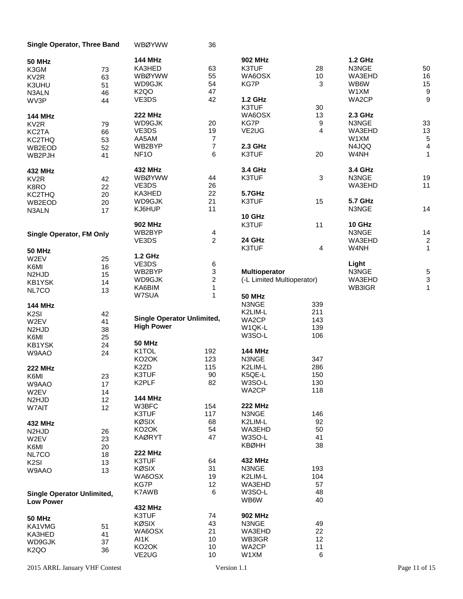| Single Operator, Three Band       |    | <b>WBØYWW</b>                     | 36             |                            |                  |                |                  |
|-----------------------------------|----|-----------------------------------|----------------|----------------------------|------------------|----------------|------------------|
| <b>50 MHz</b>                     |    | <b>144 MHz</b>                    |                | <b>902 MHz</b>             |                  | 1.2 GHz        |                  |
| K3GM                              | 73 | KA3HED                            | 63             | K3TUF                      | 28               | N3NGE          | 50               |
| KV <sub>2R</sub>                  | 63 | <b>WBØYWW</b>                     | 55             | WA6OSX                     | $10$             | WA3EHD         | 16               |
|                                   |    | WD9GJK                            | 54             | KG7P                       | 3                | WB6W           | 15               |
| K3UHU                             | 51 |                                   |                |                            |                  |                | $\boldsymbol{9}$ |
| N3ALN                             | 46 | K <sub>2</sub> QO                 | 47             |                            |                  | W1XM           |                  |
| WV3P                              | 44 | VE3DS                             | 42             | 1.2 GHz                    |                  | WA2CP          | $\boldsymbol{9}$ |
|                                   |    |                                   |                | K3TUF                      | 30               |                |                  |
| <b>144 MHz</b>                    |    | <b>222 MHz</b>                    |                | WA6OSX                     | 13               | 2.3 GHz        |                  |
| KV <sub>2R</sub>                  | 79 | WD9GJK                            | 20             | KG7P                       | $\boldsymbol{9}$ | N3NGE          | 33               |
| KC2TA                             | 66 | VE3DS                             | 19             | VE2UG                      | 4                | WA3EHD         | $13\,$           |
| KC2THQ                            | 53 | AA5AM                             | 7              |                            |                  | W1XM           | 5                |
|                                   |    | WB2BYP                            | $\overline{7}$ | 2.3 GHz                    |                  | N4JQQ          | $\overline{4}$   |
| WB2EOD                            | 52 | NF <sub>10</sub>                  | 6              | K3TUF                      | 20               | W4NH           | 1                |
| WB2PJH                            | 41 |                                   |                |                            |                  |                |                  |
|                                   |    | <b>432 MHz</b>                    |                | 3.4 GHz                    |                  | 3.4 GHz        |                  |
| 432 MHz                           |    | <b>WBØYWW</b>                     |                |                            |                  |                |                  |
| KV <sub>2R</sub>                  | 42 |                                   | 44             | K3TUF                      | 3                | N3NGE          | 19               |
| K8RO                              | 22 | VE3DS                             | 26             |                            |                  | WA3EHD         | 11               |
| KC2THQ                            | 20 | KA3HED                            | 22             | 5.7GHz                     |                  |                |                  |
| WB2EOD                            | 20 | WD9GJK                            | 21             | K3TUF                      | 15               | <b>5.7 GHz</b> |                  |
| N3ALN                             | 17 | KJ6HUP                            | 11             |                            |                  | N3NGE          | 14               |
|                                   |    |                                   |                | 10 GHz                     |                  |                |                  |
|                                   |    | <b>902 MHz</b>                    |                | K3TUF                      | 11               | 10 GHz         |                  |
|                                   |    | WB2BYP                            | 4              |                            |                  | N3NGE          | 14               |
| <b>Single Operator, FM Only</b>   |    | VE3DS                             | $\overline{c}$ | 24 GHz                     |                  | WA3EHD         | $\overline{c}$   |
|                                   |    |                                   |                |                            |                  |                |                  |
| <b>50 MHz</b>                     |    |                                   |                | K3TUF                      | 4                | W4NH           | $\mathbf{1}$     |
| W2EV                              | 25 | 1.2 GHz                           |                |                            |                  |                |                  |
| K6MI                              | 16 | VE3DS                             | 6              |                            |                  | Light          |                  |
| N <sub>2</sub> HJ <sub>D</sub>    | 15 | WB2BYP                            | 3              | <b>Multioperator</b>       |                  | N3NGE          | $\frac{5}{3}$    |
| KB1YSK                            | 14 | WD9GJK                            | $\overline{c}$ | (-L Limited Multioperator) |                  | WA3EHD         |                  |
|                                   |    | KA6BIM                            | $\mathbf{1}$   |                            |                  | WB3IGR         | $\mathbf{1}$     |
| NL7CO                             | 13 | W7SUA                             | $\mathbf{1}$   | <b>50 MHz</b>              |                  |                |                  |
|                                   |    |                                   |                | N3NGE                      | 339              |                |                  |
| <b>144 MHz</b>                    |    |                                   |                |                            |                  |                |                  |
| K <sub>2</sub> SI                 | 42 | <b>Single Operator Unlimited,</b> |                | K2LIM-L                    | 211              |                |                  |
| W2EV                              | 41 |                                   |                | WA2CP                      | 143              |                |                  |
| N <sub>2</sub> HJ <sub>D</sub>    | 38 | <b>High Power</b>                 |                | W1QK-L                     | 139              |                |                  |
| K6MI                              | 25 |                                   |                | W3SO-L                     | 106              |                |                  |
| KB1YSK                            | 24 | <b>50 MHz</b>                     |                |                            |                  |                |                  |
| W9AAO                             | 24 | K1TOL                             | 192            | <b>144 MHz</b>             |                  |                |                  |
|                                   |    | KO <sub>2</sub> OK                | 123            | N3NGE                      | 347              |                |                  |
| <b>222 MHz</b>                    |    | K <sub>2</sub> ZD                 | 115            | K2LIM-L                    | 286              |                |                  |
|                                   |    | K3TUF                             | 90             | K5QE-L                     | 150              |                |                  |
| K6MI                              | 23 |                                   |                |                            |                  |                |                  |
| W9AAO                             | 17 | K2PLF                             | 82             | W3SO-L                     | 130              |                |                  |
| W2EV                              | 14 |                                   |                | WA2CP                      | 118              |                |                  |
| N <sub>2</sub> HJD                | 12 | <b>144 MHz</b>                    |                |                            |                  |                |                  |
| W7AIT                             | 12 | W3BFC                             | 154            | <b>222 MHz</b>             |                  |                |                  |
|                                   |    | K3TUF                             | 117            | N3NGE                      | 146              |                |                  |
| 432 MHz                           |    | <b>KØSIX</b>                      | 68             | K2LIM-L                    | 92               |                |                  |
| N <sub>2</sub> HJ <sub>D</sub>    | 26 | KO <sub>2</sub> OK                | 54             | WA3EHD                     | 50               |                |                  |
| W2EV                              | 23 | <b>KAØRYT</b>                     | 47             | W3SO-L                     | 41               |                |                  |
|                                   |    |                                   |                | <b>KBØHH</b>               | 38               |                |                  |
| K6MI                              | 20 | <b>222 MHz</b>                    |                |                            |                  |                |                  |
| NL7CO                             | 18 |                                   |                |                            |                  |                |                  |
| K <sub>2</sub> SI                 | 13 | K3TUF                             | 64             | 432 MHz                    |                  |                |                  |
| W9AAO                             | 13 | <b>KØSIX</b>                      | 31             | N3NGE                      | 193              |                |                  |
|                                   |    | WA6OSX                            | 19             | K2LIM-L                    | 104              |                |                  |
|                                   |    | KG7P                              | 12             | WA3EHD                     | 57               |                |                  |
| <b>Single Operator Unlimited,</b> |    | K7AWB                             | 6              | W3SO-L                     | 48               |                |                  |
| <b>Low Power</b>                  |    |                                   |                | WB6W                       | 40               |                |                  |
|                                   |    | 432 MHz                           |                |                            |                  |                |                  |
|                                   |    | K3TUF                             | 74             | <b>902 MHz</b>             |                  |                |                  |
| <b>50 MHz</b>                     |    | <b>KØSIX</b>                      | 43             | N3NGE                      | 49               |                |                  |
| KA1VMG                            | 51 |                                   |                |                            |                  |                |                  |
| KA3HED                            | 41 | WA6OSX                            | 21             | WA3EHD                     | 22               |                |                  |
| WD9GJK                            | 37 | AI1K                              | 10             | WB3IGR                     | 12               |                |                  |
| <b>K2QO</b>                       | 36 | KO <sub>2</sub> OK                | 10             | WA2CP                      | 11               |                |                  |
|                                   |    | VE2UG                             | 10             | W1XM                       | $\,6\,$          |                |                  |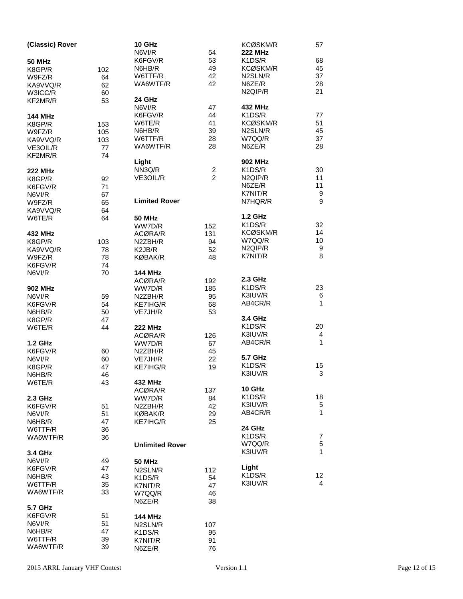| (Classic) Rover |     | 10 GHz                           |                | KCØSKM/R<br><b>222 MHz</b> | 57             |
|-----------------|-----|----------------------------------|----------------|----------------------------|----------------|
|                 |     | N6VI/R                           | 54             |                            |                |
| <b>50 MHz</b>   |     | K6FGV/R                          | 53             | K1DS/R                     | 68             |
| K8GP/R          | 102 | N6HB/R                           | 49             | KCØSKM/R                   | 45             |
| W9FZ/R          | 64  | W6TTF/R                          | 42             | N2SLN/R                    | 37             |
| KA9VVQ/R        | 62  | WA6WTF/R                         | 42             | N6ZE/R                     | 28             |
|                 |     |                                  |                | N2QIP/R                    | 21             |
| W3ICC/R         | 60  |                                  |                |                            |                |
| KF2MR/R         | 53  | 24 GHz                           |                |                            |                |
|                 |     | N6VI/R                           | 47             | 432 MHz                    |                |
| <b>144 MHz</b>  |     | K6FGV/R                          | 44             | K1DS/R                     | 77             |
| K8GP/R          | 153 | W6TE/R                           | 41             | KCØSKM/R                   | 51             |
| W9FZ/R          | 105 | N6HB/R                           | 39             | N2SLN/R                    | 45             |
|                 | 103 | W6TTF/R                          | 28             | W7QQ/R                     | 37             |
| KA9VVQ/R        |     | WA6WTF/R                         | 28             | N6ZE/R                     | 28             |
| VE3OIL/R        | 77  |                                  |                |                            |                |
| KF2MR/R         | 74  |                                  |                |                            |                |
|                 |     | Light                            |                | <b>902 MHz</b>             |                |
| <b>222 MHz</b>  |     | NN3Q/R                           | $\overline{c}$ | K1DS/R                     | 30             |
| K8GP/R          | 92  | VE3OIL/R                         | $\overline{2}$ | N <sub>2Q</sub> IP/R       | 11             |
| K6FGV/R         | 71  |                                  |                | N6ZE/R                     | 11             |
|                 |     |                                  |                | K7NIT/R                    | 9              |
| N6VI/R          | 67  |                                  |                |                            |                |
| W9FZ/R          | 65  | <b>Limited Rover</b>             |                | N7HQR/R                    | 9              |
| KA9VVQ/R        | 64  |                                  |                |                            |                |
| W6TE/R          | 64  | <b>50 MHz</b>                    |                | <b>1.2 GHz</b>             |                |
|                 |     | WW7D/R                           | 152            | K1DS/R                     | 32             |
| 432 MHz         |     | ACØRA/R                          | 131            | <b>KCØSKM/R</b>            | 14             |
| K8GP/R          |     | N2ZBH/R                          | 94             | W7QQ/R                     | 10             |
|                 | 103 |                                  |                |                            |                |
| KA9VVQ/R        | 78  | K <sub>2</sub> J <sub>B</sub> /R | 52             | N2QIP/R                    | 9              |
| W9FZ/R          | 78  | <b>KØBAK/R</b>                   | 48             | K7NIT/R                    | 8              |
| K6FGV/R         | 74  |                                  |                |                            |                |
| N6VI/R          | 70  | <b>144 MHz</b>                   |                |                            |                |
|                 |     | ACØRA/R                          | 192            | 2.3 GHz                    |                |
| 902 MHz         |     | WW7D/R                           | 185            | K1DS/R                     | 23             |
|                 |     |                                  |                | K3IUV/R                    |                |
| N6VI/R          | 59  | N2ZBH/R                          | 95             |                            | 6              |
| K6FGV/R         | 54  | KE7IHG/R                         | 68             | AB4CR/R                    | 1              |
| N6HB/R          | 50  | VE7JH/R                          | 53             |                            |                |
| K8GP/R          | 47  |                                  |                | 3.4 GHz                    |                |
| W6TE/R          | 44  | <b>222 MHz</b>                   |                | K1DS/R                     | 20             |
|                 |     | ACØRA/R                          | 126            | K3IUV/R                    | $\overline{4}$ |
|                 |     |                                  |                | AB4CR/R                    | $\mathbf{1}$   |
| <b>1.2 GHz</b>  |     | WW7D/R                           | 67             |                            |                |
| K6FGV/R         | 60  | N2ZBH/R                          | 45             |                            |                |
| N6VI/R          | 60  | VE7JH/R                          | 22             | 5.7 GHz                    |                |
| K8GP/R          | 47  | <b>KE7IHG/R</b>                  | 19             | K1DS/R                     | 15             |
| N6HB/R          | 46  |                                  |                | K3IUV/R                    | 3              |
| W6TE/R          | 43  | 432 MHz                          |                |                            |                |
|                 |     | ACØRA/R                          | 137            | 10 GHz                     |                |
|                 |     |                                  |                | K1DS/R                     | 18             |
| 2.3 GHz         |     | WW7D/R                           | 84             |                            |                |
| K6FGV/R         | 51  | N2ZBH/R                          | 42             | K3IUV/R                    | 5              |
| N6VI/R          | 51  | KØBAK/R                          | 29             | AB4CR/R                    | 1              |
| N6HB/R          | 47  | <b>KE7IHG/R</b>                  | 25             |                            |                |
| W6TTF/R         | 36  |                                  |                | 24 GHz                     |                |
| WA6WTF/R        | 36  |                                  |                | K1DS/R                     | $\overline{7}$ |
|                 |     | <b>Unlimited Rover</b>           |                | W7QQ/R                     | 5              |
|                 |     |                                  |                |                            | 1              |
| 3.4 GHz         |     |                                  |                | K3IUV/R                    |                |
| N6VI/R          | 49  | <b>50 MHz</b>                    |                |                            |                |
| K6FGV/R         | 47  | N2SLN/R                          | 112            | Light                      |                |
| N6HB/R          | 43  | K1DS/R                           | 54             | K1DS/R                     | 12             |
| W6TTF/R         | 35  |                                  | 47             | K3IUV/R                    | 4              |
|                 |     | K7NIT/R                          |                |                            |                |
| WA6WTF/R        | 33  | W7QQ/R                           | 46             |                            |                |
|                 |     | N6ZE/R                           | 38             |                            |                |
| 5.7 GHz         |     |                                  |                |                            |                |
| K6FGV/R         | 51  | <b>144 MHz</b>                   |                |                            |                |
| N6VI/R          | 51  | N2SLN/R                          | 107            |                            |                |
| N6HB/R          | 47  | K1DS/R                           | 95             |                            |                |
| W6TTF/R         | 39  |                                  |                |                            |                |
|                 |     | K7NIT/R                          | 91             |                            |                |
| WA6WTF/R        | 39  | N6ZE/R                           | 76             |                            |                |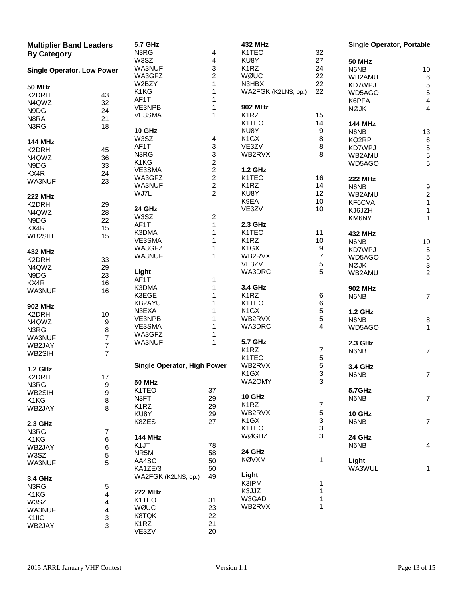| <b>Multiplier Band Leaders</b><br><b>By Category</b> |                  | <b>5.7 GHz</b><br>N3RG      | 4                       | <b>432 MHz</b><br>K1TEO | 32                        | <b>Single Operator, Portable</b> |                                            |
|------------------------------------------------------|------------------|-----------------------------|-------------------------|-------------------------|---------------------------|----------------------------------|--------------------------------------------|
|                                                      |                  | W3SZ                        | 4                       | KU8Y                    | 27                        | <b>50 MHz</b>                    |                                            |
|                                                      |                  | WA3NUF                      | 3                       | K <sub>1</sub> RZ       | 24                        | N6NB                             | $10$                                       |
| <b>Single Operator, Low Power</b>                    |                  | WA3GFZ                      | $\overline{c}$          | WØUC                    | 22                        |                                  |                                            |
|                                                      |                  | W2BZY                       | 1                       | N3HBX                   | 22                        | WB2AMU                           | 6                                          |
| <b>50 MHz</b>                                        |                  |                             |                         |                         |                           | KD7WPJ                           | $\sqrt{5}$                                 |
| K2DRH                                                | 43               | K1KG                        | 1                       | WA2FGK (K2LNS, op.)     | 22                        | WD5AGO                           | $\mathbf 5$                                |
| N4QWZ                                                | 32               | AF1T                        | 1                       |                         |                           | K6PFA                            | 4                                          |
| N9DG                                                 | 24               | VE3NPB                      | 1                       | <b>902 MHz</b>          |                           | <b>NØJK</b>                      | 4                                          |
| N8RA                                                 | 21               | VE3SMA                      | $\mathbf{1}$            | K <sub>1</sub> RZ       | 15                        |                                  |                                            |
| N3RG                                                 | 18               |                             |                         | K1TEO                   | 14                        | <b>144 MHz</b>                   |                                            |
|                                                      |                  | 10 GHz                      |                         | KU8Y                    | 9                         | N6NB                             | 13                                         |
|                                                      |                  | W3SZ                        | 4                       | K <sub>1</sub> GX       | 8                         | KQ2RP                            | $\,6\,$                                    |
| <b>144 MHz</b>                                       |                  | AF1T                        | 3                       | VE3ZV                   | 8                         |                                  |                                            |
| K2DRH                                                | 45               | N3RG                        | 3                       | WB2RVX                  | 8                         | KD7WPJ                           | $\,$ 5 $\,$                                |
| N4QWZ                                                | 36               |                             |                         |                         |                           | WB2AMU                           | $\,$ 5 $\,$                                |
| N9DG                                                 | 33               | K1KG                        | $\overline{\mathbf{c}}$ |                         |                           | WD5AGO                           | 5                                          |
| KX4R                                                 | 24               | VE3SMA                      | $\overline{\mathbf{c}}$ | <b>1.2 GHz</b>          |                           |                                  |                                            |
| WA3NUF                                               | 23               | WA3GFZ                      | $\boldsymbol{2}$        | K1TEO                   | 16                        | <b>222 MHz</b>                   |                                            |
|                                                      |                  | WA3NUF                      | $\overline{\mathbf{c}}$ | K <sub>1</sub> RZ       | 14                        | N6NB                             |                                            |
| <b>222 MHz</b>                                       |                  | WJ7L                        | $\overline{2}$          | KU8Y                    | 12                        | WB2AMU                           |                                            |
|                                                      |                  |                             |                         | K9EA                    | 10                        | KF6CVA                           | $\begin{array}{c} 9 \\ 2 \\ 1 \end{array}$ |
| K2DRH                                                | 29               | 24 GHz                      |                         | VE3ZV                   | 10                        | KJ6JZH                           |                                            |
| N4QWZ                                                | 28               | W3SZ                        |                         |                         |                           |                                  | 1                                          |
| N9DG                                                 | 22               |                             | 2                       |                         |                           | KM6NY                            | 1                                          |
| KX4R                                                 | 15               | AF1T                        | $\mathbf{1}$            | 2.3 GHz                 |                           |                                  |                                            |
| WB2SIH                                               | 15               | K3DMA                       | 1                       | K1TEO                   | 11                        | <b>432 MHz</b>                   |                                            |
|                                                      |                  | VE3SMA                      | 1                       | K <sub>1</sub> RZ       | 10                        | N6NB                             | $10$                                       |
| <b>432 MHz</b>                                       |                  | WA3GFZ                      | 1                       | K <sub>1</sub> GX       | 9                         | KD7WPJ                           | $\sqrt{5}$                                 |
|                                                      |                  | WA3NUF                      | $\mathbf{1}$            | WB2RVX                  | $\overline{\mathcal{I}}$  | WD5AGO                           | $\sqrt{5}$                                 |
| K2DRH                                                | 33               |                             |                         | VE3ZV                   | 5                         | <b>NØJK</b>                      | $\ensuremath{\mathsf{3}}$                  |
| N4QWZ                                                | 29               | Light                       |                         | WA3DRC                  | 5                         | WB2AMU                           | $\overline{2}$                             |
| N9DG                                                 | 23               | AF1T                        | 1                       |                         |                           |                                  |                                            |
| KX4R                                                 | 16               |                             |                         |                         |                           |                                  |                                            |
| WA3NUF                                               | 16               | K3DMA                       | 1                       | 3.4 GHz                 |                           | <b>902 MHz</b>                   |                                            |
|                                                      |                  | K3EGE                       | 1                       | K <sub>1</sub> RZ       | 6                         | N6NB                             | 7                                          |
| <b>902 MHz</b>                                       |                  | KB2AYU                      | 1                       | K1TEO                   | 6                         |                                  |                                            |
| K2DRH                                                | 10               | N3EXA                       | 1                       | K <sub>1</sub> GX       | 5                         | <b>1.2 GHz</b>                   |                                            |
| N4QWZ                                                | 9                | VE3NPB                      | 1                       | WB2RVX                  | 5                         | N6NB                             | 8                                          |
|                                                      |                  | VE3SMA                      | 1                       | WA3DRC                  | 4                         | WD5AGO                           | 1                                          |
| N3RG                                                 | 8                | WA3GFZ                      | 1                       |                         |                           |                                  |                                            |
| WA3NUF                                               | 7                | WA3NUF                      | 1                       | 5.7 GHz                 |                           | 2.3 GHz                          |                                            |
| WB2JAY                                               | $\overline{7}$   |                             |                         | K <sub>1</sub> RZ       | 7                         |                                  |                                            |
| WB2SIH                                               | 7                |                             |                         |                         |                           | N6NB                             | 7                                          |
|                                                      |                  |                             |                         | K1TEO                   | 5                         |                                  |                                            |
| <b>1.2 GHz</b>                                       |                  | Single Operator, High Power |                         | WB2RVX                  | 5                         | 3.4 GHz                          |                                            |
| K2DRH                                                | 17               |                             |                         | K1GX                    | 3                         | N6NB                             | $\overline{7}$                             |
| N3RG                                                 | $\boldsymbol{9}$ | <b>50 MHz</b>               |                         | WA2OMY                  | 3                         |                                  |                                            |
| WB2SIH                                               | 9                | K1TEO                       | 37                      |                         |                           | 5.7GHz                           |                                            |
|                                                      |                  | N3FTI                       | 29                      | 10 GHz                  |                           | N6NB                             | $\overline{7}$                             |
| K1KG                                                 | 8                | K <sub>1</sub> RZ           | 29                      | K <sub>1</sub> RZ       | 7                         |                                  |                                            |
| WB2JAY                                               | 8                | KU8Y                        | 29                      | WB2RVX                  | $\,$ 5 $\,$               | 10 GHz                           |                                            |
|                                                      |                  |                             |                         | K <sub>1</sub> GX       | $\ensuremath{\mathsf{3}}$ |                                  |                                            |
| 2.3 GHz                                              |                  | K8ZES                       | 27                      |                         |                           | N6NB                             | $\overline{7}$                             |
| N3RG                                                 | 7                |                             |                         | K1TEO                   | 3                         |                                  |                                            |
| K1KG                                                 | 6                | <b>144 MHz</b>              |                         | WØGHZ                   | 3                         | 24 GHz                           |                                            |
| WB2JAY                                               | 6                | K <sub>1</sub> JT           | 78                      |                         |                           | N6NB                             | 4                                          |
| W3SZ                                                 | 5                | NR5M                        | 58                      | 24 GHz                  |                           |                                  |                                            |
|                                                      |                  | AA4SC                       | 50                      | <b>KØVXM</b>            | 1                         | Light                            |                                            |
| WA3NUF                                               | 5                | KA1ZE/3                     | 50                      |                         |                           | WA3WUL                           | 1                                          |
|                                                      |                  |                             | 49                      | Light                   |                           |                                  |                                            |
| 3.4 GHz                                              |                  | WA2FGK (K2LNS, op.)         |                         | K3IPM                   | 1                         |                                  |                                            |
| N3RG                                                 | 5                |                             |                         |                         |                           |                                  |                                            |
| K1KG                                                 | 4                | <b>222 MHz</b>              |                         | K3JJZ                   | 1                         |                                  |                                            |
| W3SZ                                                 | 4                | K1TEO                       | 31                      | W3GAD                   | 1                         |                                  |                                            |
| WA3NUF                                               | 4                | WØUC                        | 23                      | WB2RVX                  | 1                         |                                  |                                            |
| K1IIG                                                | 3                | K8TQK                       | 22                      |                         |                           |                                  |                                            |
| WB2JAY                                               | 3                | K <sub>1</sub> RZ           | 21                      |                         |                           |                                  |                                            |
|                                                      |                  | VE3ZV                       | 20                      |                         |                           |                                  |                                            |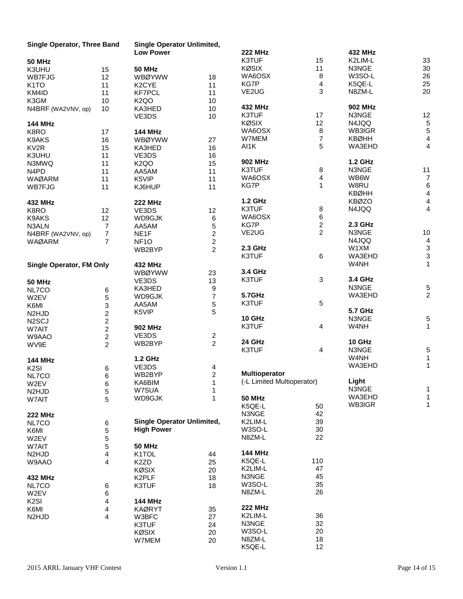| Single Operator, Three Band     |                         | <b>Single Operator Unlimited,</b> |                |                            |                         |                |                         |
|---------------------------------|-------------------------|-----------------------------------|----------------|----------------------------|-------------------------|----------------|-------------------------|
|                                 |                         | <b>Low Power</b>                  |                | <b>222 MHz</b>             |                         | 432 MHz        |                         |
| <b>50 MHz</b>                   |                         |                                   |                | K3TUF                      | 15                      | K2LIM-L        | 33                      |
| K3UHU                           | 15                      | <b>50 MHz</b>                     |                | <b>KØSIX</b>               | 11                      | N3NGE          | 30                      |
| <b>WB7FJG</b>                   | 12                      | <b>WBØYWW</b>                     | 18             | WA6OSX                     | $\bf 8$                 | W3SO-L         | 26                      |
| K <sub>1</sub> TO               | 11                      | K <sub>2</sub> CYE                | 11             | KG7P                       | 4                       | K5QE-L         | 25                      |
| KM4ID                           | 11                      | <b>KF7PCL</b>                     | 11             | VE2UG                      | 3                       | N8ZM-L         | 20                      |
| K3GM                            | 10                      | K <sub>2</sub> QO                 | 10             |                            |                         |                |                         |
|                                 |                         |                                   |                | 432 MHz                    |                         | <b>902 MHz</b> |                         |
| N4BRF (WA2VNV, op)              | 10                      | KA3HED                            | 10             |                            |                         |                |                         |
|                                 |                         | VE3DS                             | 10             | K3TUF                      | 17                      | N3NGE          | 12                      |
| <b>144 MHz</b>                  |                         |                                   |                | <b>KØSIX</b>               | 12                      | N4JQQ          | $\sqrt{5}$              |
| K8RO                            | 17                      | <b>144 MHz</b>                    |                | WA6OSX                     | $\bf 8$                 | WB3IGR         | $\sqrt{5}$              |
| K9AKS                           | 16                      | <b>WBØYWW</b>                     | 27             | W7MEM                      | 7                       | <b>KBØHH</b>   | 4                       |
| KV <sub>2R</sub>                | 15                      | KA3HED                            | 16             | AI1K                       | 5                       | WA3EHD         | $\overline{4}$          |
| K3UHU                           | 11                      | VE3DS                             | 16             |                            |                         |                |                         |
| N3MWQ                           | 11                      | K <sub>2</sub> QO                 | 15             | <b>902 MHz</b>             |                         | <b>1.2 GHz</b> |                         |
| N <sub>4</sub> P <sub>D</sub>   | 11                      | AA5AM                             | 11             | K3TUF                      | 8                       | N3NGE          | 11                      |
| <b>WAØARM</b>                   | 11                      | K5VIP                             | 11             | WA6OSX                     | 4                       | WB6W           | $\overline{7}$          |
|                                 |                         |                                   |                | KG7P                       | $\mathbf{1}$            | W8RU           | $\,6\,$                 |
| <b>WB7FJG</b>                   | 11                      | KJ6HUP                            | 11             |                            |                         | <b>KBØHH</b>   | $\overline{\mathbf{4}}$ |
|                                 |                         |                                   |                |                            |                         |                |                         |
| 432 MHz                         |                         | <b>222 MHz</b>                    |                | <b>1.2 GHz</b>             |                         | <b>KBØZO</b>   | $\overline{4}$          |
| K8RO                            | 12                      | VE3DS                             | 12             | K3TUF                      | 8                       | N4JQQ          | $\overline{4}$          |
| K9AKS                           | 12                      | WD9GJK                            | 6              | WA6OSX                     | 6                       |                |                         |
| N3ALN                           | $\overline{7}$          | AA5AM                             | 5              | KG7P                       | $\overline{\mathbf{c}}$ | 2.3 GHz        |                         |
| N4BRF (WA2VNV, op)              | $\overline{7}$          | NE <sub>1</sub> F                 | $\overline{c}$ | VE2UG                      | $\overline{2}$          | N3NGE          | $10$                    |
| <b>WAØARM</b>                   | $\overline{7}$          | NF <sub>10</sub>                  | $\overline{c}$ |                            |                         | N4JQQ          | $\overline{4}$          |
|                                 |                         | WB2BYP                            | $\overline{2}$ | 2.3 GHz                    |                         | W1XM           |                         |
|                                 |                         |                                   |                | K3TUF                      | 6                       | WA3EHD         | $\frac{3}{3}$           |
|                                 |                         |                                   |                |                            |                         | W4NH           | $\mathbf{1}$            |
| <b>Single Operator, FM Only</b> |                         | <b>432 MHz</b>                    |                | 3.4 GHz                    |                         |                |                         |
|                                 |                         | <b>WBØYWW</b>                     | 23             |                            |                         |                |                         |
| <b>50 MHz</b>                   |                         | VE3DS                             | 13             | K3TUF                      | 3                       | 3.4 GHz        |                         |
| NL7CO                           | 6                       | KA3HED                            | 9              |                            |                         | N3NGE          | 5                       |
| W2EV                            | 5                       | WD9GJK                            | $\overline{7}$ | 5.7GHz                     |                         | WA3EHD         | $\overline{c}$          |
| K6MI                            | 3                       | AA5AM                             | 5              | K3TUF                      | 5                       |                |                         |
| N <sub>2</sub> HJD              | $\overline{c}$          | K5VIP                             | 5              |                            |                         | <b>5.7 GHz</b> |                         |
| N <sub>2</sub> SCJ              | $\overline{c}$          |                                   |                | 10 GHz                     |                         | N3NGE          | 5                       |
| W7AIT                           | $\overline{2}$          | <b>902 MHz</b>                    |                | K3TUF                      | 4                       | W4NH           | $\mathbf{1}$            |
| W9AAO                           | $\overline{2}$          | VE3DS                             | $\overline{c}$ |                            |                         |                |                         |
|                                 |                         | WB2BYP                            | $\overline{2}$ | 24 GHz                     |                         | 10 GHz         |                         |
| WV9E                            | $\overline{2}$          |                                   |                | K3TUF                      | 4                       | N3NGE          | 5                       |
|                                 |                         |                                   |                |                            |                         | W4NH           | 1                       |
| <b>144 MHz</b>                  |                         | 1.2 GHz                           |                |                            |                         |                |                         |
| K <sub>2</sub> SI               | 6                       | VE3DS                             | 4              |                            |                         | WA3EHD         | 1                       |
| NL7CO                           | 6                       | WB2BYP                            | $\overline{c}$ | <b>Multioperator</b>       |                         |                |                         |
| W2EV                            | 6                       | KA6BIM                            | 1              | (-L Limited Multioperator) |                         | Light          |                         |
| N <sub>2</sub> HJD              | 5                       | W7SUA                             | 1              |                            |                         | N3NGE          | 1                       |
| W7AIT                           | 5                       | WD9GJK                            | $\mathbf{1}$   | <b>50 MHz</b>              |                         | WA3EHD         | 1                       |
|                                 |                         |                                   |                | K5QE-L                     | 50                      | WB3IGR         | 1                       |
| <b>222 MHz</b>                  |                         |                                   |                | N3NGE                      | 42                      |                |                         |
| NL7CO                           | 6                       | <b>Single Operator Unlimited,</b> |                | K2LIM-L                    | 39                      |                |                         |
|                                 |                         | <b>High Power</b>                 |                | W3SO-L                     | 30                      |                |                         |
| K6MI                            | 5                       |                                   |                | N8ZM-L                     | 22                      |                |                         |
| W2EV                            | 5                       |                                   |                |                            |                         |                |                         |
| W7AIT                           | 5                       | <b>50 MHz</b>                     |                |                            |                         |                |                         |
| N <sub>2</sub> HJ <sub>D</sub>  | 4                       | K1TOL                             | 44             | <b>144 MHz</b>             |                         |                |                         |
| W9AAO                           | 4                       | K <sub>2</sub> ZD                 | 25             | K5QE-L                     | 110                     |                |                         |
|                                 |                         | <b>KØSIX</b>                      | 20             | K2LIM-L                    | 47                      |                |                         |
| 432 MHz                         |                         | K <sub>2</sub> PLF                | 18             | N3NGE                      | 45                      |                |                         |
| NL7CO                           | 6                       | K3TUF                             | 18             | W3SO-L                     | 35                      |                |                         |
| W2EV                            | 6                       |                                   |                | N8ZM-L                     | 26                      |                |                         |
| K <sub>2</sub> SI               | $\overline{\mathbf{4}}$ | <b>144 MHz</b>                    |                |                            |                         |                |                         |
| K6MI                            | $\overline{\mathbf{4}}$ | <b>KAØRYT</b>                     | 35             | <b>222 MHz</b>             |                         |                |                         |
|                                 |                         |                                   |                | K2LIM-L                    | 36                      |                |                         |
| N <sub>2</sub> HJ <sub>D</sub>  | 4                       | W3BFC                             | 27             |                            |                         |                |                         |
|                                 |                         | K3TUF                             | 24             | N3NGE                      | 32                      |                |                         |
|                                 |                         | <b>KØSIX</b>                      | 20             | W3SO-L                     | 20                      |                |                         |
|                                 |                         | W7MEM                             | 20             | N8ZM-L                     | 18                      |                |                         |
|                                 |                         |                                   |                | K5QE-L                     | 12                      |                |                         |